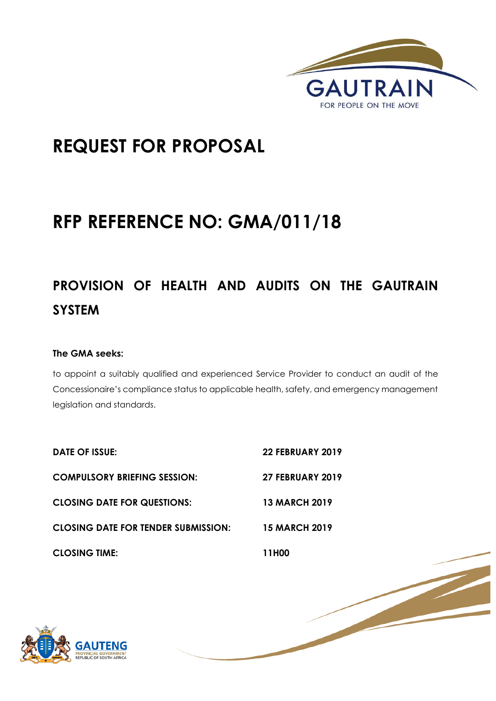

1 | P a g e

# **REQUEST FOR PROPOSAL**

# **RFP REFERENCE NO: GMA/011/18**

# **PROVISION OF HEALTH AND AUDITS ON THE GAUTRAIN SYSTEM**

# **The GMA seeks:**

to appoint a suitably qualified and experienced Service Provider to conduct an audit of the Concessionaire's compliance status to applicable health, safety, and emergency management legislation and standards.

| DATE OF ISSUE:                             | <b>22 FEBRUARY 2019</b> |
|--------------------------------------------|-------------------------|
| <b>COMPULSORY BRIEFING SESSION:</b>        | <b>27 FEBRUARY 2019</b> |
| <b>CLOSING DATE FOR QUESTIONS:</b>         | <b>13 MARCH 2019</b>    |
| <b>CLOSING DATE FOR TENDER SUBMISSION:</b> | <b>15 MARCH 2019</b>    |
| <b>CLOSING TIME:</b>                       | 11H00                   |

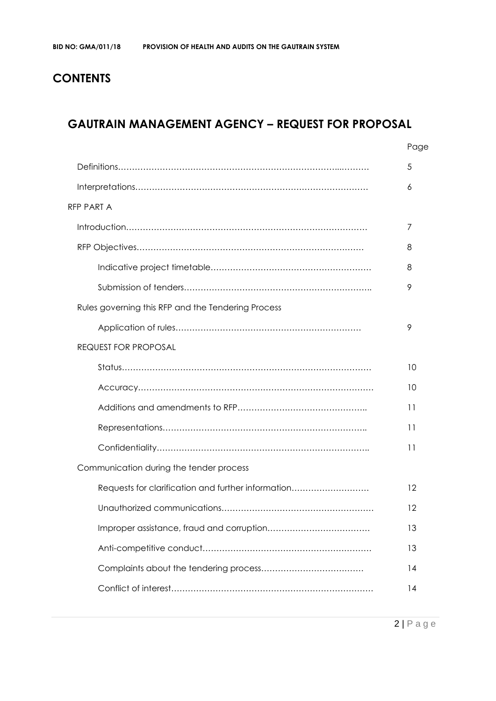# **CONTENTS**

# **GAUTRAIN MANAGEMENT AGENCY – REQUEST FOR PROPOSAL**

|                                                    | Page |
|----------------------------------------------------|------|
|                                                    | 5    |
|                                                    | 6    |
| RFP PART A                                         |      |
|                                                    | 7    |
|                                                    | 8    |
|                                                    | 8    |
|                                                    | 9    |
| Rules governing this RFP and the Tendering Process |      |
|                                                    | 9    |
| <b>REQUEST FOR PROPOSAL</b>                        |      |
|                                                    | 10   |
|                                                    | 10   |
|                                                    | 11   |
|                                                    | 11   |
|                                                    | 11   |
| Communication during the tender process            |      |
| Requests for clarification and further information | 12   |
|                                                    | 12   |
|                                                    | 13   |
|                                                    | 13   |
|                                                    | 14   |
|                                                    | 14   |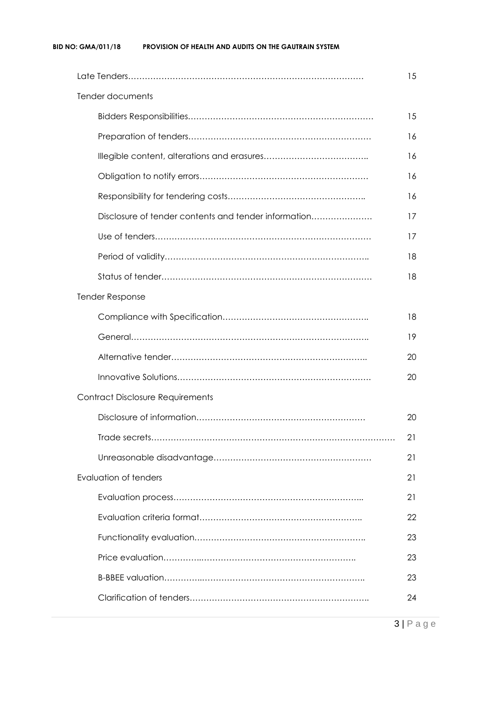|                                                      | 15 |  |  |
|------------------------------------------------------|----|--|--|
| Tender documents                                     |    |  |  |
|                                                      | 15 |  |  |
|                                                      | 16 |  |  |
|                                                      | 16 |  |  |
|                                                      | 16 |  |  |
|                                                      | 16 |  |  |
| Disclosure of tender contents and tender information | 17 |  |  |
|                                                      | 17 |  |  |
|                                                      | 18 |  |  |
|                                                      | 18 |  |  |
| <b>Tender Response</b>                               |    |  |  |
|                                                      | 18 |  |  |
|                                                      | 19 |  |  |
|                                                      | 20 |  |  |
|                                                      | 20 |  |  |
| <b>Contract Disclosure Requirements</b>              |    |  |  |
|                                                      | 20 |  |  |
|                                                      | 21 |  |  |
|                                                      | 21 |  |  |
| Evaluation of tenders                                | 21 |  |  |
|                                                      | 21 |  |  |
|                                                      | 22 |  |  |
|                                                      | 23 |  |  |
|                                                      | 23 |  |  |
|                                                      | 23 |  |  |
|                                                      | 24 |  |  |
|                                                      |    |  |  |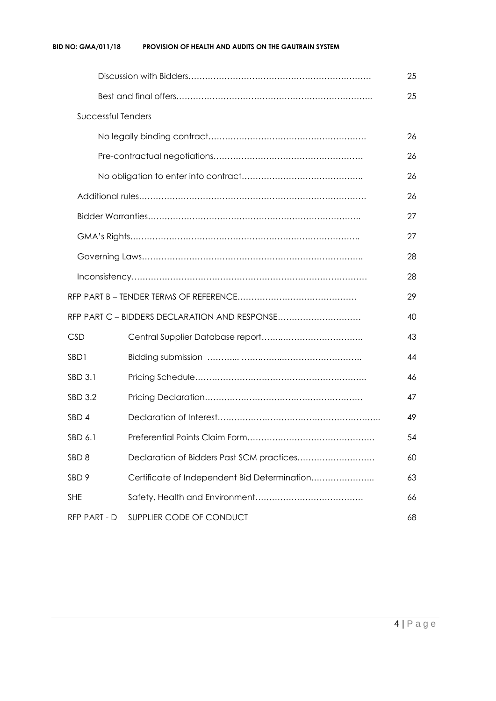#### **BID NO: GMA/011/18 PROVISION OF HEALTH AND AUDITS ON THE GAUTRAIN SYSTEM**

|                           |                                               | 25 |
|---------------------------|-----------------------------------------------|----|
|                           |                                               | 25 |
| <b>Successful Tenders</b> |                                               |    |
|                           |                                               | 26 |
|                           |                                               | 26 |
|                           |                                               | 26 |
|                           |                                               | 26 |
|                           |                                               | 27 |
|                           |                                               | 27 |
|                           |                                               | 28 |
|                           |                                               | 28 |
|                           |                                               | 29 |
|                           | RFP PART C - BIDDERS DECLARATION AND RESPONSE | 40 |
| <b>CSD</b>                |                                               | 43 |
| SBD1                      |                                               | 44 |
| SBD 3.1                   |                                               | 46 |
| <b>SBD 3.2</b>            |                                               | 47 |
| SBD 4                     |                                               | 49 |
| SBD 6.1                   |                                               | 54 |
| SBD <sub>8</sub>          | Declaration of Bidders Past SCM practices     | 60 |
| SBD <sub>9</sub>          | Certificate of Independent Bid Determination  | 63 |
| <b>SHE</b>                |                                               | 66 |
| RFP PART - D              | SUPPLIER CODE OF CONDUCT                      | 68 |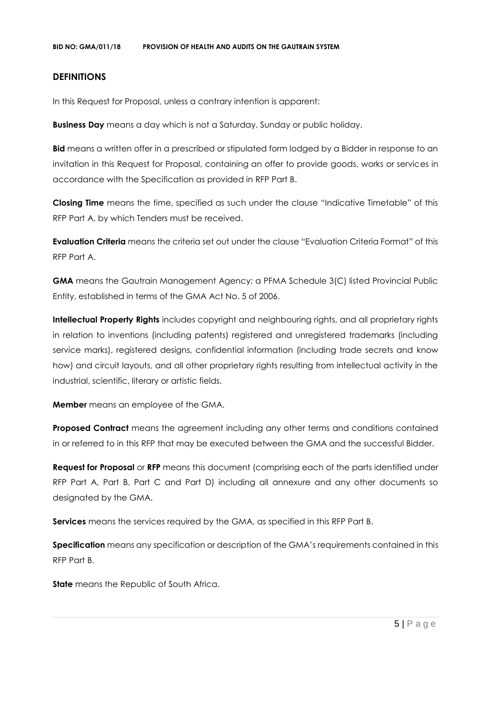#### **DEFINITIONS**

In this Request for Proposal, unless a contrary intention is apparent:

**Business Day** means a day which is not a Saturday, Sunday or public holiday.

**Bid** means a written offer in a prescribed or stipulated form lodged by a Bidder in response to an invitation in this Request for Proposal, containing an offer to provide goods, works or services in accordance with the Specification as provided in RFP Part B.

**Closing Time** means the time, specified as such under the clause "Indicative Timetable" of this RFP Part A, by which Tenders must be received.

**Evaluation Criteria** means the criteria set out under the clause "Evaluation Criteria Format" of this RFP Part A.

**GMA** means the Gautrain Management Agency; a PFMA Schedule 3(C) listed Provincial Public Entity, established in terms of the GMA Act No. 5 of 2006.

**Intellectual Property Rights** includes copyright and neighbouring rights, and all proprietary rights in relation to inventions (including patents) registered and unregistered trademarks (including service marks), registered designs, confidential information (including trade secrets and know how) and circuit layouts, and all other proprietary rights resulting from intellectual activity in the industrial, scientific, literary or artistic fields.

**Member** means an employee of the GMA.

**Proposed Contract** means the agreement including any other terms and conditions contained in or referred to in this RFP that may be executed between the GMA and the successful Bidder.

**Request for Proposal** or **RFP** means this document (comprising each of the parts identified under RFP Part A, Part B, Part C and Part D) including all annexure and any other documents so designated by the GMA.

**Services** means the services required by the GMA, as specified in this RFP Part B.

**Specification** means any specification or description of the GMA's requirements contained in this RFP Part B.

**State** means the Republic of South Africa.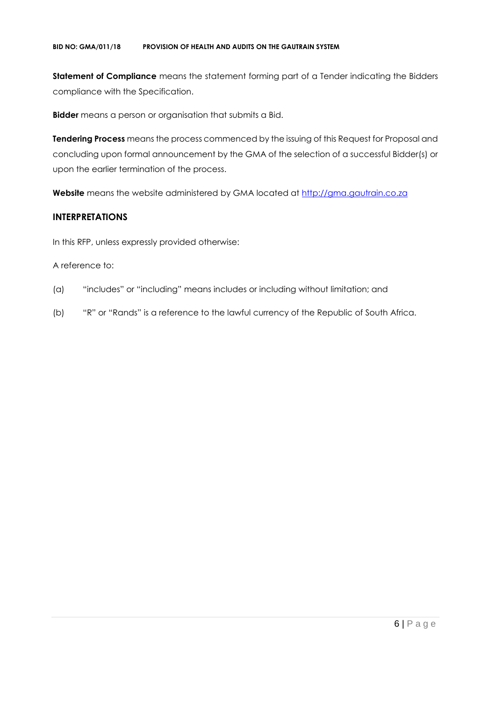**Statement of Compliance** means the statement forming part of a Tender indicating the Bidders compliance with the Specification.

**Bidder** means a person or organisation that submits a Bid.

**Tendering Process** means the process commenced by the issuing of this Request for Proposal and concluding upon formal announcement by the GMA of the selection of a successful Bidder(s) or upon the earlier termination of the process.

Website means the website administered by GMA located at [http://gma.gautrain.co.za](http://gma.gautrain.co.za/)

## **INTERPRETATIONS**

In this RFP, unless expressly provided otherwise:

#### A reference to:

- (a) "includes" or "including" means includes or including without limitation; and
- (b) "R" or "Rands" is a reference to the lawful currency of the Republic of South Africa.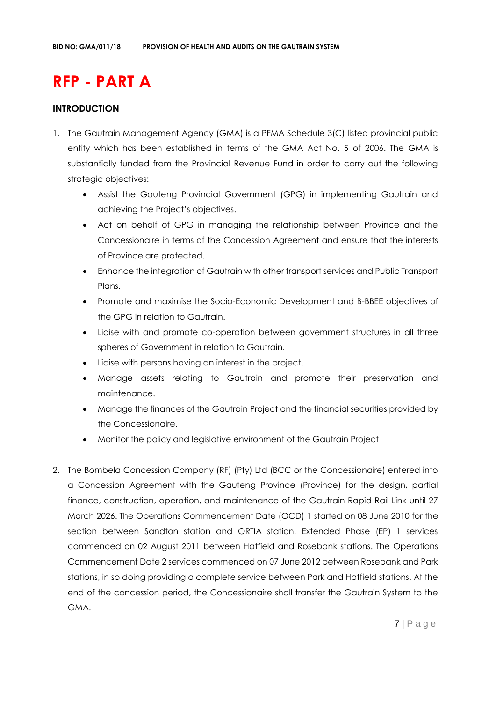# **RFP - PART A**

## **INTRODUCTION**

- 1. The Gautrain Management Agency (GMA) is a PFMA Schedule 3(C) listed provincial public entity which has been established in terms of the GMA Act No. 5 of 2006. The GMA is substantially funded from the Provincial Revenue Fund in order to carry out the following strategic objectives:
	- Assist the Gauteng Provincial Government (GPG) in implementing Gautrain and achieving the Project's objectives.
	- Act on behalf of GPG in managing the relationship between Province and the Concessionaire in terms of the Concession Agreement and ensure that the interests of Province are protected.
	- Enhance the integration of Gautrain with other transport services and Public Transport Plans.
	- Promote and maximise the Socio-Economic Development and B-BBEE objectives of the GPG in relation to Gautrain.
	- Liaise with and promote co-operation between government structures in all three spheres of Government in relation to Gautrain.
	- Liaise with persons having an interest in the project.
	- Manage assets relating to Gautrain and promote their preservation and maintenance.
	- Manage the finances of the Gautrain Project and the financial securities provided by the Concessionaire.
	- Monitor the policy and legislative environment of the Gautrain Project
- 2. The Bombela Concession Company (RF) (Pty) Ltd (BCC or the Concessionaire) entered into a Concession Agreement with the Gauteng Province (Province) for the design, partial finance, construction, operation, and maintenance of the Gautrain Rapid Rail Link until 27 March 2026. The Operations Commencement Date (OCD) 1 started on 08 June 2010 for the section between Sandton station and ORTIA station. Extended Phase (EP) 1 services commenced on 02 August 2011 between Hatfield and Rosebank stations. The Operations Commencement Date 2 services commenced on 07 June 2012 between Rosebank and Park stations, in so doing providing a complete service between Park and Hatfield stations. At the end of the concession period, the Concessionaire shall transfer the Gautrain System to the GMA.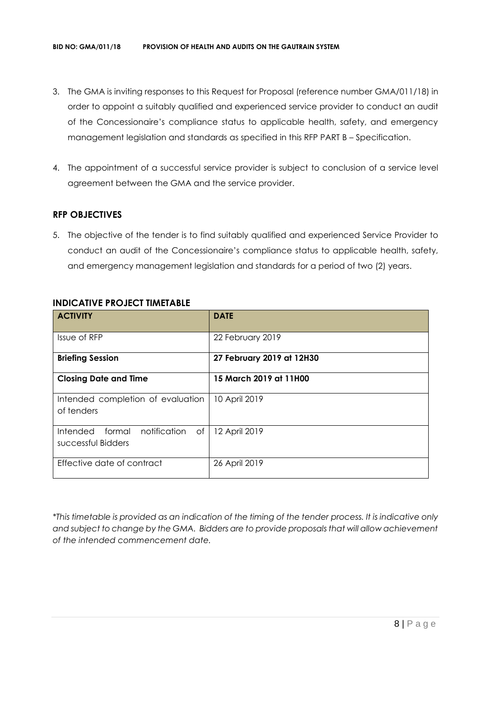- 3. The GMA is inviting responses to this Request for Proposal (reference number GMA/011/18) in order to appoint a suitably qualified and experienced service provider to conduct an audit of the Concessionaire's compliance status to applicable health, safety, and emergency management legislation and standards as specified in this RFP PART B – Specification.
- 4. The appointment of a successful service provider is subject to conclusion of a service level agreement between the GMA and the service provider.

# **RFP OBJECTIVES**

5. The objective of the tender is to find suitably qualified and experienced Service Provider to conduct an audit of the Concessionaire's compliance status to applicable health, safety, and emergency management legislation and standards for a period of two (2) years.

| <b>ACTIVITY</b>                                                | <b>DATE</b>               |
|----------------------------------------------------------------|---------------------------|
| Issue of RFP                                                   | 22 February 2019          |
| <b>Briefing Session</b>                                        | 27 February 2019 at 12H30 |
| <b>Closing Date and Time</b>                                   | 15 March 2019 at 11H00    |
| Intended completion of evaluation<br>of tenders                | 10 April 2019             |
| Intended<br>formal<br>notification<br>of<br>successful Bidders | 12 April 2019             |
| Effective date of contract                                     | 26 April 2019             |

#### **INDICATIVE PROJECT TIMETABLE**

*\*This timetable is provided as an indication of the timing of the tender process. It is indicative only and subject to change by the GMA. Bidders are to provide proposals that will allow achievement of the intended commencement date.*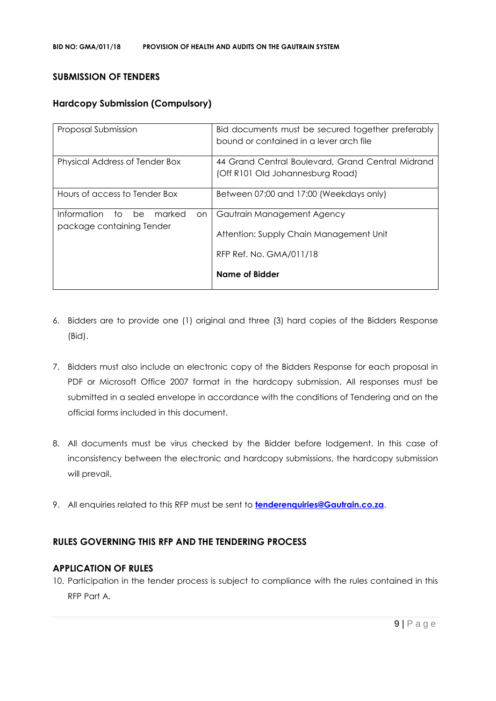#### **SUBMISSION OF TENDERS**

## **Hardcopy Submission (Compulsory)**

| Proposal Submission                                                      | Bid documents must be secured together preferably<br>bound or contained in a lever arch file |
|--------------------------------------------------------------------------|----------------------------------------------------------------------------------------------|
| Physical Address of Tender Box                                           | 44 Grand Central Boulevard, Grand Central Midrand<br>(Off R101 Old Johannesburg Road)        |
| Hours of access to Tender Box                                            | Between 07:00 and 17:00 (Weekdays only)                                                      |
| Information<br>marked<br>be<br>to to<br>on.<br>package containing Tender | Gautrain Management Agency<br>Attention: Supply Chain Management Unit                        |
|                                                                          | RFP Ref. No. GMA/011/18<br>Name of Bidder                                                    |

- 6. Bidders are to provide one (1) original and three (3) hard copies of the Bidders Response (Bid).
- 7. Bidders must also include an electronic copy of the Bidders Response for each proposal in PDF or Microsoft Office 2007 format in the hardcopy submission. All responses must be submitted in a sealed envelope in accordance with the conditions of Tendering and on the official forms included in this document.
- 8. All documents must be virus checked by the Bidder before lodgement. In this case of inconsistency between the electronic and hardcopy submissions, the hardcopy submission will prevail.
- 9. All enquiries related to this RFP must be sent to **[tenderenquiries@Gautrain.co.za](mailto:tenderenquiries@Gautrain.co.za)**.

#### **RULES GOVERNING THIS RFP AND THE TENDERING PROCESS**

#### **APPLICATION OF RULES**

10. Participation in the tender process is subject to compliance with the rules contained in this RFP Part A.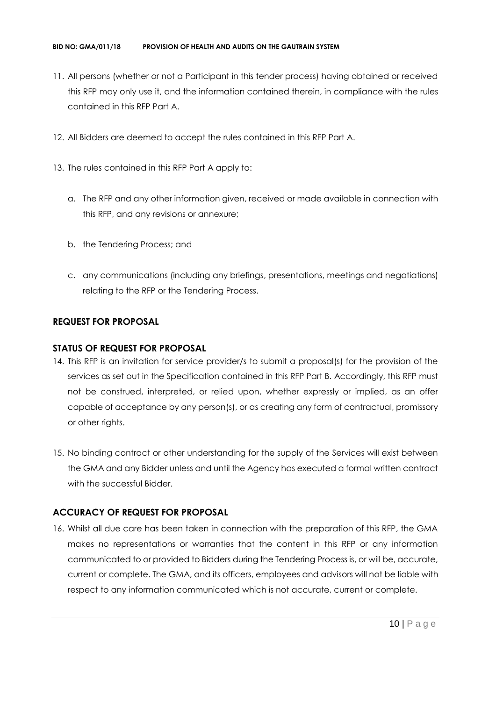- 11. All persons (whether or not a Participant in this tender process) having obtained or received this RFP may only use it, and the information contained therein, in compliance with the rules contained in this RFP Part A.
- 12. All Bidders are deemed to accept the rules contained in this RFP Part A.
- 13. The rules contained in this RFP Part A apply to:
	- a. The RFP and any other information given, received or made available in connection with this RFP, and any revisions or annexure;
	- b. the Tendering Process; and
	- c. any communications (including any briefings, presentations, meetings and negotiations) relating to the RFP or the Tendering Process.

# **REQUEST FOR PROPOSAL**

#### **STATUS OF REQUEST FOR PROPOSAL**

- 14. This RFP is an invitation for service provider/s to submit a proposal(s) for the provision of the services as set out in the Specification contained in this RFP Part B. Accordingly, this RFP must not be construed, interpreted, or relied upon, whether expressly or implied, as an offer capable of acceptance by any person(s), or as creating any form of contractual, promissory or other rights.
- 15. No binding contract or other understanding for the supply of the Services will exist between the GMA and any Bidder unless and until the Agency has executed a formal written contract with the successful Bidder.

# **ACCURACY OF REQUEST FOR PROPOSAL**

16. Whilst all due care has been taken in connection with the preparation of this RFP, the GMA makes no representations or warranties that the content in this RFP or any information communicated to or provided to Bidders during the Tendering Process is, or will be, accurate, current or complete. The GMA, and its officers, employees and advisors will not be liable with respect to any information communicated which is not accurate, current or complete.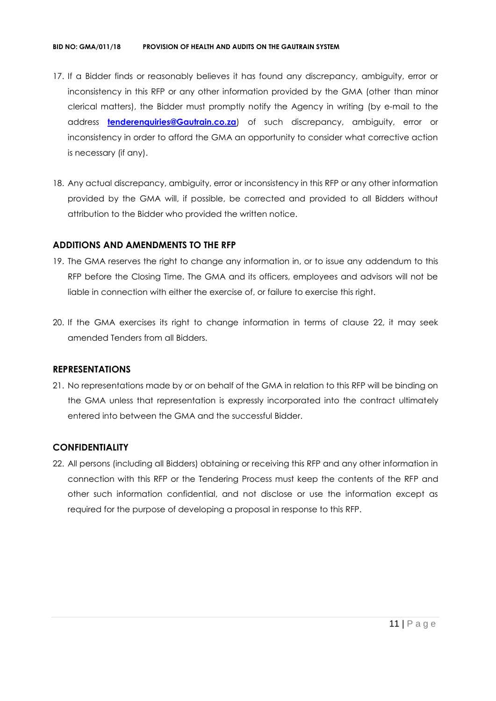#### **BID NO: GMA/011/18 PROVISION OF HEALTH AND AUDITS ON THE GAUTRAIN SYSTEM**

- 17. If a Bidder finds or reasonably believes it has found any discrepancy, ambiguity, error or inconsistency in this RFP or any other information provided by the GMA (other than minor clerical matters), the Bidder must promptly notify the Agency in writing (by e-mail to the address **[tenderenquiries@Gautrain.co.za](mailto:tenderenquiries@gautrainpo.co.za)**) of such discrepancy, ambiguity, error or inconsistency in order to afford the GMA an opportunity to consider what corrective action is necessary (if any).
- 18. Any actual discrepancy, ambiguity, error or inconsistency in this RFP or any other information provided by the GMA will, if possible, be corrected and provided to all Bidders without attribution to the Bidder who provided the written notice.

#### **ADDITIONS AND AMENDMENTS TO THE RFP**

- 19. The GMA reserves the right to change any information in, or to issue any addendum to this RFP before the Closing Time. The GMA and its officers, employees and advisors will not be liable in connection with either the exercise of, or failure to exercise this right.
- 20. If the GMA exercises its right to change information in terms of clause 22, it may seek amended Tenders from all Bidders.

#### **REPRESENTATIONS**

21. No representations made by or on behalf of the GMA in relation to this RFP will be binding on the GMA unless that representation is expressly incorporated into the contract ultimately entered into between the GMA and the successful Bidder.

#### **CONFIDENTIALITY**

22. All persons (including all Bidders) obtaining or receiving this RFP and any other information in connection with this RFP or the Tendering Process must keep the contents of the RFP and other such information confidential, and not disclose or use the information except as required for the purpose of developing a proposal in response to this RFP.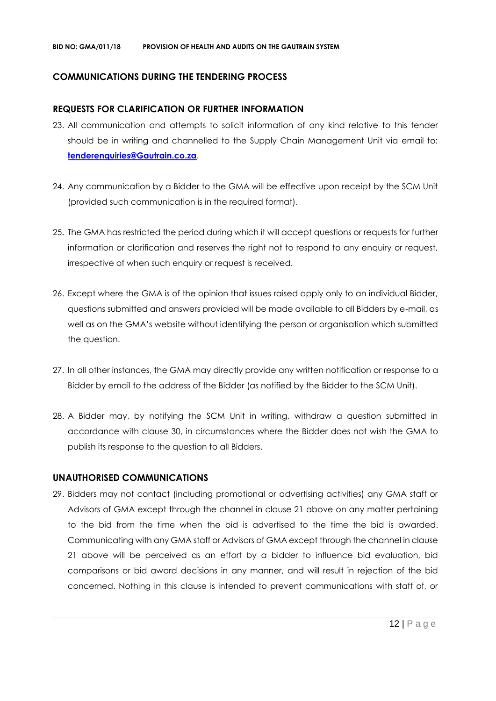#### **COMMUNICATIONS DURING THE TENDERING PROCESS**

#### **REQUESTS FOR CLARIFICATION OR FURTHER INFORMATION**

- 23. All communication and attempts to solicit information of any kind relative to this tender should be in writing and channelled to the Supply Chain Management Unit via email to: **[tenderenquiries@Gautrain.co.za](mailto:tenderenquiries@gautrainpo.co.za)**.
- 24. Any communication by a Bidder to the GMA will be effective upon receipt by the SCM Unit (provided such communication is in the required format).
- 25. The GMA has restricted the period during which it will accept questions or requests for further information or clarification and reserves the right not to respond to any enquiry or request, irrespective of when such enquiry or request is received.
- 26. Except where the GMA is of the opinion that issues raised apply only to an individual Bidder, questions submitted and answers provided will be made available to all Bidders by e-mail, as well as on the GMA's website without identifying the person or organisation which submitted the question.
- 27. In all other instances, the GMA may directly provide any written notification or response to a Bidder by email to the address of the Bidder (as notified by the Bidder to the SCM Unit).
- 28. A Bidder may, by notifying the SCM Unit in writing, withdraw a question submitted in accordance with clause 30, in circumstances where the Bidder does not wish the GMA to publish its response to the question to all Bidders.

#### **UNAUTHORISED COMMUNICATIONS**

29. Bidders may not contact (including promotional or advertising activities) any GMA staff or Advisors of GMA except through the channel in clause 21 above on any matter pertaining to the bid from the time when the bid is advertised to the time the bid is awarded. Communicating with any GMA staff or Advisors of GMA except through the channel in clause 21 above will be perceived as an effort by a bidder to influence bid evaluation, bid comparisons or bid award decisions in any manner, and will result in rejection of the bid concerned. Nothing in this clause is intended to prevent communications with staff of, or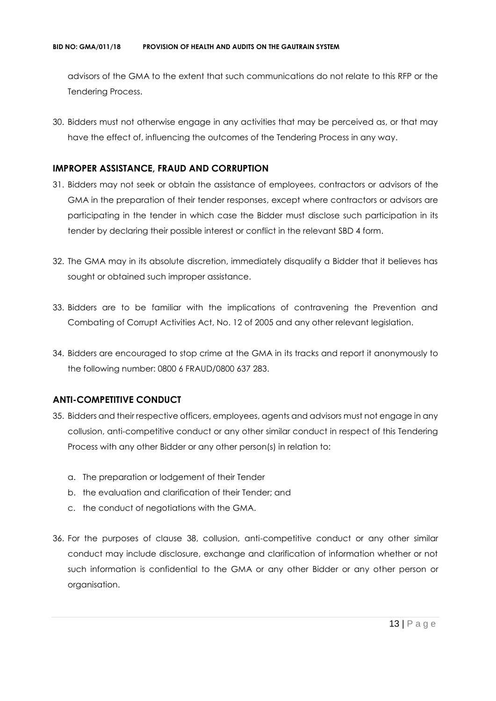advisors of the GMA to the extent that such communications do not relate to this RFP or the Tendering Process.

30. Bidders must not otherwise engage in any activities that may be perceived as, or that may have the effect of, influencing the outcomes of the Tendering Process in any way.

#### **IMPROPER ASSISTANCE, FRAUD AND CORRUPTION**

- 31. Bidders may not seek or obtain the assistance of employees, contractors or advisors of the GMA in the preparation of their tender responses, except where contractors or advisors are participating in the tender in which case the Bidder must disclose such participation in its tender by declaring their possible interest or conflict in the relevant SBD 4 form.
- 32. The GMA may in its absolute discretion, immediately disqualify a Bidder that it believes has sought or obtained such improper assistance.
- 33. Bidders are to be familiar with the implications of contravening the Prevention and Combating of Corrupt Activities Act, No. 12 of 2005 and any other relevant legislation.
- 34. Bidders are encouraged to stop crime at the GMA in its tracks and report it anonymously to the following number: 0800 6 FRAUD/0800 637 283.

#### **ANTI-COMPETITIVE CONDUCT**

- 35. Bidders and their respective officers, employees, agents and advisors must not engage in any collusion, anti-competitive conduct or any other similar conduct in respect of this Tendering Process with any other Bidder or any other person(s) in relation to:
	- a. The preparation or lodgement of their Tender
	- b. the evaluation and clarification of their Tender; and
	- c. the conduct of negotiations with the GMA.
- 36. For the purposes of clause 38, collusion, anti-competitive conduct or any other similar conduct may include disclosure, exchange and clarification of information whether or not such information is confidential to the GMA or any other Bidder or any other person or organisation.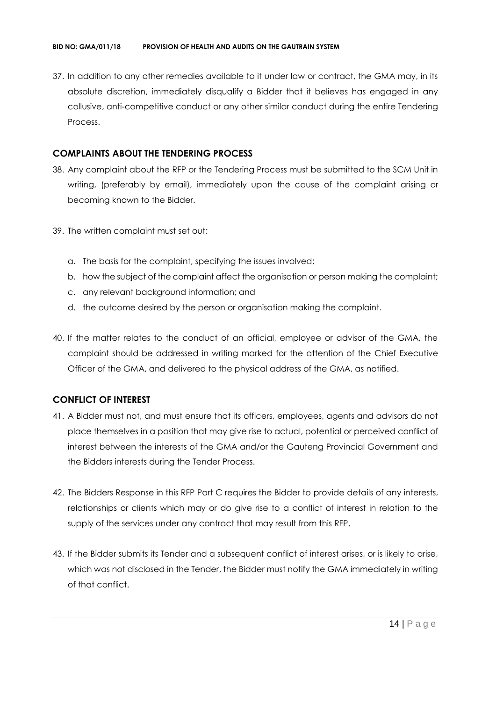37. In addition to any other remedies available to it under law or contract, the GMA may, in its absolute discretion, immediately disqualify a Bidder that it believes has engaged in any collusive, anti-competitive conduct or any other similar conduct during the entire Tendering Process.

#### **COMPLAINTS ABOUT THE TENDERING PROCESS**

- 38. Any complaint about the RFP or the Tendering Process must be submitted to the SCM Unit in writing, (preferably by email), immediately upon the cause of the complaint arising or becoming known to the Bidder.
- 39. The written complaint must set out:
	- a. The basis for the complaint, specifying the issues involved;
	- b. how the subject of the complaint affect the organisation or person making the complaint;
	- c. any relevant background information; and
	- d. the outcome desired by the person or organisation making the complaint.
- 40. If the matter relates to the conduct of an official, employee or advisor of the GMA, the complaint should be addressed in writing marked for the attention of the Chief Executive Officer of the GMA, and delivered to the physical address of the GMA, as notified.

#### **CONFLICT OF INTEREST**

- 41. A Bidder must not, and must ensure that its officers, employees, agents and advisors do not place themselves in a position that may give rise to actual, potential or perceived conflict of interest between the interests of the GMA and/or the Gauteng Provincial Government and the Bidders interests during the Tender Process.
- 42. The Bidders Response in this RFP Part C requires the Bidder to provide details of any interests, relationships or clients which may or do give rise to a conflict of interest in relation to the supply of the services under any contract that may result from this RFP.
- 43. If the Bidder submits its Tender and a subsequent conflict of interest arises, or is likely to arise, which was not disclosed in the Tender, the Bidder must notify the GMA immediately in writing of that conflict.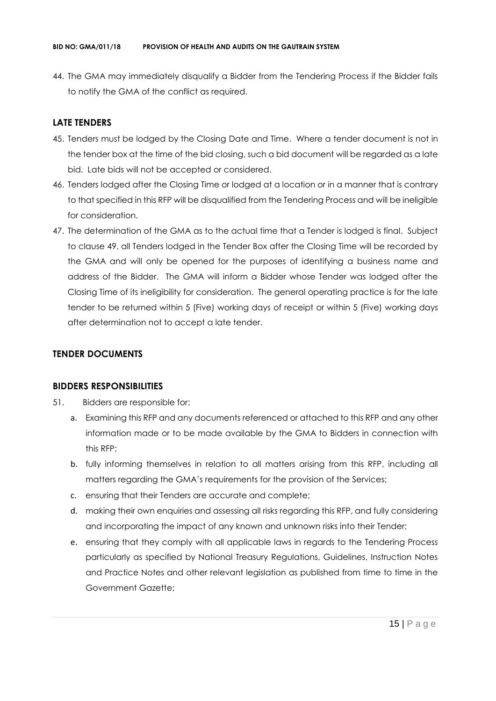44. The GMA may immediately disqualify a Bidder from the Tendering Process if the Bidder fails to notify the GMA of the conflict as required.

### **LATE TENDERS**

- 45. Tenders must be lodged by the Closing Date and Time. Where a tender document is not in the tender box at the time of the bid closing, such a bid document will be regarded as a late bid. Late bids will not be accepted or considered.
- 46. Tenders lodged after the Closing Time or lodged at a location or in a manner that is contrary to that specified in this RFP will be disqualified from the Tendering Process and will be ineligible for consideration.
- 47. The determination of the GMA as to the actual time that a Tender is lodged is final. Subject to clause 49, all Tenders lodged in the Tender Box after the Closing Time will be recorded by the GMA and will only be opened for the purposes of identifying a business name and address of the Bidder. The GMA will inform a Bidder whose Tender was lodged after the Closing Time of its ineligibility for consideration. The general operating practice is for the late tender to be returned within 5 (Five) working days of receipt or within 5 (Five) working days after determination not to accept a late tender.

#### **TENDER DOCUMENTS**

#### **BIDDERS RESPONSIBILITIES**

- 51. Bidders are responsible for:
	- a. Examining this RFP and any documents referenced or attached to this RFP and any other information made or to be made available by the GMA to Bidders in connection with this RFP;
	- b. fully informing themselves in relation to all matters arising from this RFP, including all matters regarding the GMA's requirements for the provision of the Services;
	- c. ensuring that their Tenders are accurate and complete;
	- d. making their own enquiries and assessing all risks regarding this RFP, and fully considering and incorporating the impact of any known and unknown risks into their Tender;
	- e. ensuring that they comply with all applicable laws in regards to the Tendering Process particularly as specified by National Treasury Regulations, Guidelines, Instruction Notes and Practice Notes and other relevant legislation as published from time to time in the Government Gazette;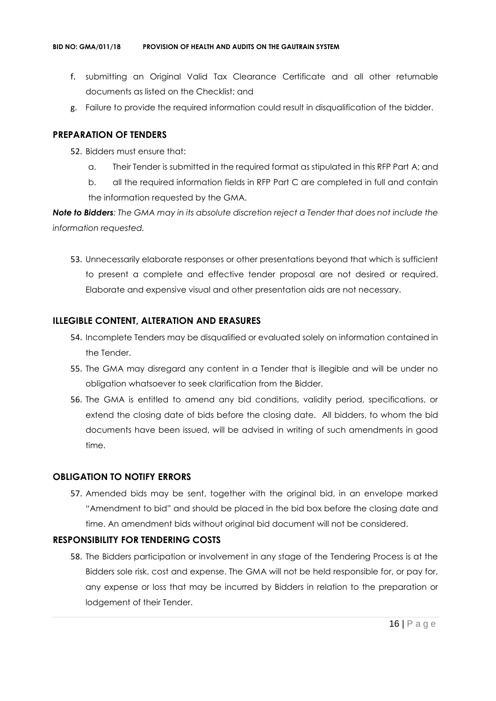- f. submitting an Original Valid Tax Clearance Certificate and all other returnable documents as listed on the Checklist; and
- g. Failure to provide the required information could result in disqualification of the bidder.

#### **PREPARATION OF TENDERS**

- 52. Bidders must ensure that:
	- a. Their Tender is submitted in the required format as stipulated in this RFP Part A; and
	- b. all the required information fields in RFP Part C are completed in full and contain the information requested by the GMA.

*Note to Bidders: The GMA may in its absolute discretion reject a Tender that does not include the information requested.*

53. Unnecessarily elaborate responses or other presentations beyond that which is sufficient to present a complete and effective tender proposal are not desired or required. Elaborate and expensive visual and other presentation aids are not necessary.

#### **ILLEGIBLE CONTENT, ALTERATION AND ERASURES**

- 54. Incomplete Tenders may be disqualified or evaluated solely on information contained in the Tender.
- 55. The GMA may disregard any content in a Tender that is illegible and will be under no obligation whatsoever to seek clarification from the Bidder.
- 56. The GMA is entitled to amend any bid conditions, validity period, specifications, or extend the closing date of bids before the closing date. All bidders, to whom the bid documents have been issued, will be advised in writing of such amendments in good time.

#### **OBLIGATION TO NOTIFY ERRORS**

57. Amended bids may be sent, together with the original bid, in an envelope marked "Amendment to bid" and should be placed in the bid box before the closing date and time. An amendment bids without original bid document will not be considered.

#### **RESPONSIBILITY FOR TENDERING COSTS**

58. The Bidders participation or involvement in any stage of the Tendering Process is at the Bidders sole risk, cost and expense. The GMA will not be held responsible for, or pay for, any expense or loss that may be incurred by Bidders in relation to the preparation or lodgement of their Tender.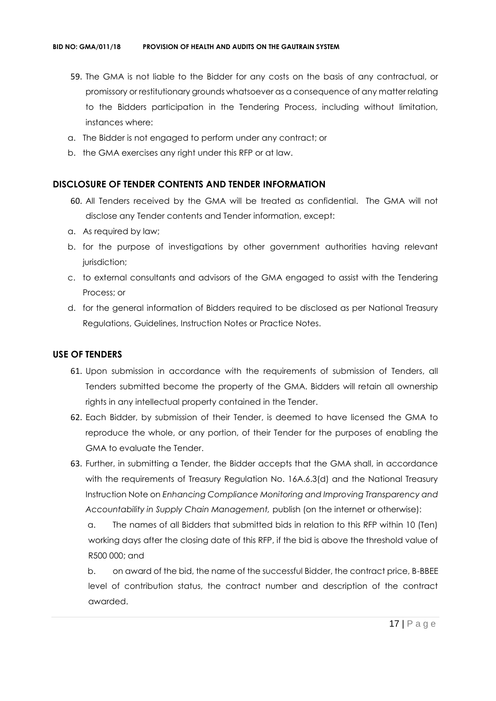- 59. The GMA is not liable to the Bidder for any costs on the basis of any contractual, or promissory or restitutionary grounds whatsoever as a consequence of any matter relating to the Bidders participation in the Tendering Process, including without limitation, instances where:
- a. The Bidder is not engaged to perform under any contract; or
- b. the GMA exercises any right under this RFP or at law.

#### **DISCLOSURE OF TENDER CONTENTS AND TENDER INFORMATION**

- 60. All Tenders received by the GMA will be treated as confidential. The GMA will not disclose any Tender contents and Tender information, except:
- a. As required by law;
- b. for the purpose of investigations by other government authorities having relevant jurisdiction;
- c. to external consultants and advisors of the GMA engaged to assist with the Tendering Process; or
- d. for the general information of Bidders required to be disclosed as per National Treasury Regulations, Guidelines, Instruction Notes or Practice Notes.

#### **USE OF TENDERS**

- 61. Upon submission in accordance with the requirements of submission of Tenders, all Tenders submitted become the property of the GMA. Bidders will retain all ownership rights in any intellectual property contained in the Tender.
- 62. Each Bidder, by submission of their Tender, is deemed to have licensed the GMA to reproduce the whole, or any portion, of their Tender for the purposes of enabling the GMA to evaluate the Tender.
- 63. Further, in submitting a Tender, the Bidder accepts that the GMA shall, in accordance with the requirements of Treasury Regulation No. 16A.6.3(d) and the National Treasury Instruction Note on *Enhancing Compliance Monitoring and Improving Transparency and Accountability in Supply Chain Management,* publish (on the internet or otherwise):

a. The names of all Bidders that submitted bids in relation to this RFP within 10 (Ten) working days after the closing date of this RFP, if the bid is above the threshold value of R500 000; and

b. on award of the bid, the name of the successful Bidder, the contract price, B-BBEE level of contribution status, the contract number and description of the contract awarded.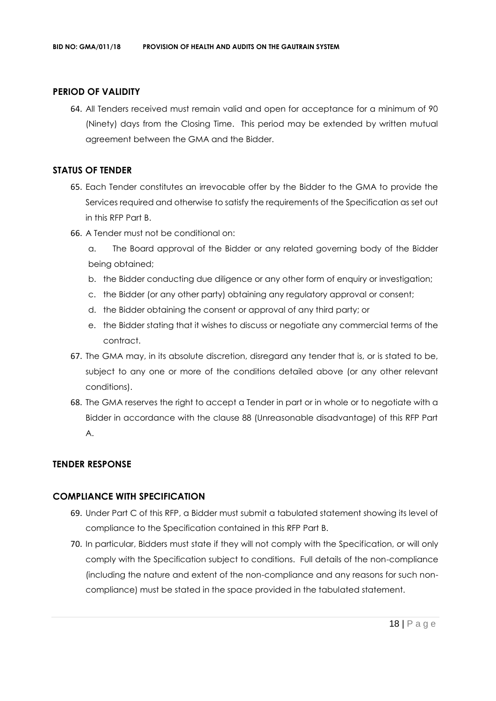#### **PERIOD OF VALIDITY**

64. All Tenders received must remain valid and open for acceptance for a minimum of 90 (Ninety) days from the Closing Time. This period may be extended by written mutual agreement between the GMA and the Bidder.

#### **STATUS OF TENDER**

- 65. Each Tender constitutes an irrevocable offer by the Bidder to the GMA to provide the Services required and otherwise to satisfy the requirements of the Specification as set out in this RFP Part B.
- 66. A Tender must not be conditional on:
	- a. The Board approval of the Bidder or any related governing body of the Bidder being obtained;
	- b. the Bidder conducting due diligence or any other form of enquiry or investigation;
	- c. the Bidder (or any other party) obtaining any regulatory approval or consent;
	- d. the Bidder obtaining the consent or approval of any third party; or
	- e. the Bidder stating that it wishes to discuss or negotiate any commercial terms of the contract.
- 67. The GMA may, in its absolute discretion, disregard any tender that is, or is stated to be, subject to any one or more of the conditions detailed above (or any other relevant conditions).
- 68. The GMA reserves the right to accept a Tender in part or in whole or to negotiate with a Bidder in accordance with the clause 88 (Unreasonable disadvantage) of this RFP Part A.

#### **TENDER RESPONSE**

### **COMPLIANCE WITH SPECIFICATION**

- 69. Under Part C of this RFP, a Bidder must submit a tabulated statement showing its level of compliance to the Specification contained in this RFP Part B.
- 70. In particular, Bidders must state if they will not comply with the Specification, or will only comply with the Specification subject to conditions. Full details of the non-compliance (including the nature and extent of the non-compliance and any reasons for such noncompliance) must be stated in the space provided in the tabulated statement.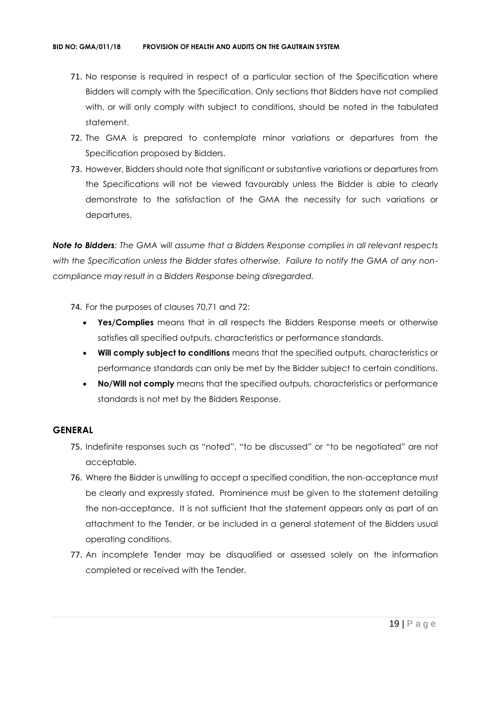- 71. No response is required in respect of a particular section of the Specification where Bidders will comply with the Specification. Only sections that Bidders have not complied with, or will only comply with subject to conditions, should be noted in the tabulated statement.
- 72. The GMA is prepared to contemplate minor variations or departures from the Specification proposed by Bidders.
- 73. However, Bidders should note that significant or substantive variations or departures from the Specifications will not be viewed favourably unless the Bidder is able to clearly demonstrate to the satisfaction of the GMA the necessity for such variations or departures.

*Note to Bidders: The GMA will assume that a Bidders Response complies in all relevant respects with the Specification unless the Bidder states otherwise. Failure to notify the GMA of any noncompliance may result in a Bidders Response being disregarded.*

- 74. For the purposes of clauses 70,71 and 72:
	- **Yes/Complies** means that in all respects the Bidders Response meets or otherwise satisfies all specified outputs, characteristics or performance standards.
	- **Will comply subject to conditions** means that the specified outputs, characteristics or performance standards can only be met by the Bidder subject to certain conditions.
	- **No/Will not comply** means that the specified outputs, characteristics or performance standards is not met by the Bidders Response.

#### **GENERAL**

- 75. Indefinite responses such as "noted", "to be discussed" or "to be negotiated" are not acceptable.
- 76. Where the Bidder is unwilling to accept a specified condition, the non-acceptance must be clearly and expressly stated. Prominence must be given to the statement detailing the non-acceptance. It is not sufficient that the statement appears only as part of an attachment to the Tender, or be included in a general statement of the Bidders usual operating conditions.
- 77. An incomplete Tender may be disqualified or assessed solely on the information completed or received with the Tender.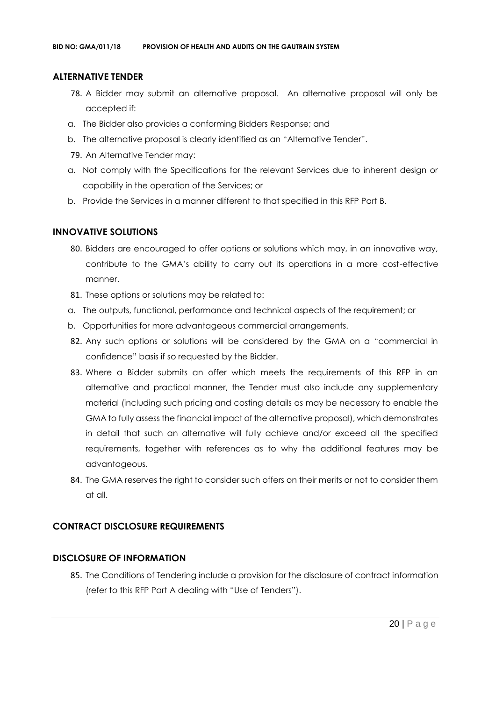#### **ALTERNATIVE TENDER**

- 78. A Bidder may submit an alternative proposal. An alternative proposal will only be accepted if:
- a. The Bidder also provides a conforming Bidders Response; and
- b. The alternative proposal is clearly identified as an "Alternative Tender".
- 79. An Alternative Tender may:
- a. Not comply with the Specifications for the relevant Services due to inherent design or capability in the operation of the Services; or
- b. Provide the Services in a manner different to that specified in this RFP Part B.

#### **INNOVATIVE SOLUTIONS**

- 80. Bidders are encouraged to offer options or solutions which may, in an innovative way, contribute to the GMA's ability to carry out its operations in a more cost-effective manner.
- 81. These options or solutions may be related to:
- a. The outputs, functional, performance and technical aspects of the requirement; or
- b. Opportunities for more advantageous commercial arrangements.
- 82. Any such options or solutions will be considered by the GMA on a "commercial in confidence" basis if so requested by the Bidder.
- 83. Where a Bidder submits an offer which meets the requirements of this RFP in an alternative and practical manner, the Tender must also include any supplementary material (including such pricing and costing details as may be necessary to enable the GMA to fully assess the financial impact of the alternative proposal), which demonstrates in detail that such an alternative will fully achieve and/or exceed all the specified requirements, together with references as to why the additional features may be advantageous.
- 84. The GMA reserves the right to consider such offers on their merits or not to consider them at all.

#### **CONTRACT DISCLOSURE REQUIREMENTS**

#### **DISCLOSURE OF INFORMATION**

85. The Conditions of Tendering include a provision for the disclosure of contract information (refer to this RFP Part A dealing with "Use of Tenders").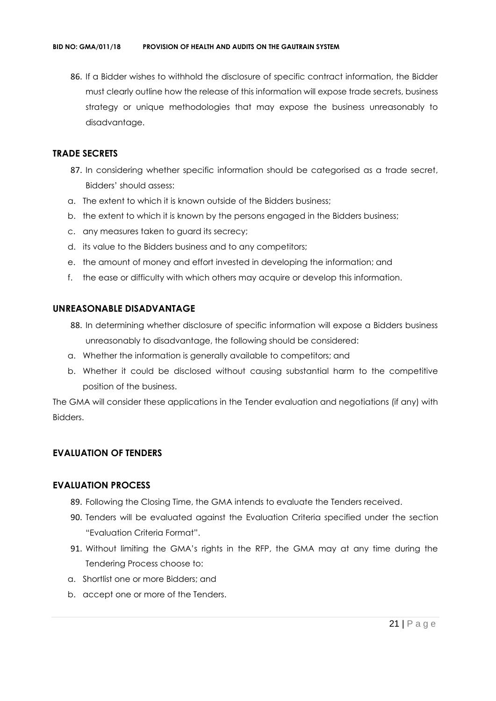86. If a Bidder wishes to withhold the disclosure of specific contract information, the Bidder must clearly outline how the release of this information will expose trade secrets, business strategy or unique methodologies that may expose the business unreasonably to disadvantage.

#### **TRADE SECRETS**

- 87. In considering whether specific information should be categorised as a trade secret, Bidders' should assess:
- a. The extent to which it is known outside of the Bidders business;
- b. the extent to which it is known by the persons engaged in the Bidders business;
- c. any measures taken to guard its secrecy;
- d. its value to the Bidders business and to any competitors;
- e. the amount of money and effort invested in developing the information; and
- f. the ease or difficulty with which others may acquire or develop this information.

#### **UNREASONABLE DISADVANTAGE**

- 88. In determining whether disclosure of specific information will expose a Bidders business unreasonably to disadvantage, the following should be considered:
- a. Whether the information is generally available to competitors; and
- b. Whether it could be disclosed without causing substantial harm to the competitive position of the business.

The GMA will consider these applications in the Tender evaluation and negotiations (if any) with Bidders.

## **EVALUATION OF TENDERS**

#### **EVALUATION PROCESS**

- 89. Following the Closing Time, the GMA intends to evaluate the Tenders received.
- 90. Tenders will be evaluated against the Evaluation Criteria specified under the section "Evaluation Criteria Format".
- 91. Without limiting the GMA's rights in the RFP, the GMA may at any time during the Tendering Process choose to:
- a. Shortlist one or more Bidders; and
- b. accept one or more of the Tenders.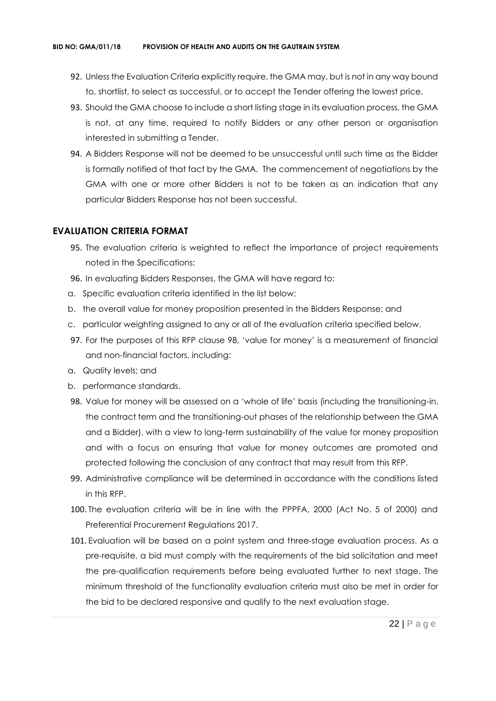- 92. Unless the Evaluation Criteria explicitly require, the GMA may, but is not in any way bound to, shortlist, to select as successful, or to accept the Tender offering the lowest price.
- 93. Should the GMA choose to include a short listing stage in its evaluation process, the GMA is not, at any time, required to notify Bidders or any other person or organisation interested in submitting a Tender.
- 94. A Bidders Response will not be deemed to be unsuccessful until such time as the Bidder is formally notified of that fact by the GMA. The commencement of negotiations by the GMA with one or more other Bidders is not to be taken as an indication that any particular Bidders Response has not been successful.

#### **EVALUATION CRITERIA FORMAT**

- 95. The evaluation criteria is weighted to reflect the importance of project requirements noted in the Specifications:
- 96. In evaluating Bidders Responses, the GMA will have regard to:
- a. Specific evaluation criteria identified in the list below;
- b. the overall value for money proposition presented in the Bidders Response; and
- c. particular weighting assigned to any or all of the evaluation criteria specified below.
- 97. For the purposes of this RFP clause 98, 'value for money' is a measurement of financial and non-financial factors, including:
- a. Quality levels; and
- b. performance standards.
- 98. Value for money will be assessed on a 'whole of life' basis (including the transitioning-in, the contract term and the transitioning-out phases of the relationship between the GMA and a Bidder), with a view to long-term sustainability of the value for money proposition and with a focus on ensuring that value for money outcomes are promoted and protected following the conclusion of any contract that may result from this RFP.
- 99. Administrative compliance will be determined in accordance with the conditions listed in this RFP.
- 100. The evaluation criteria will be in line with the PPPFA, 2000 (Act No. 5 of 2000) and Preferential Procurement Regulations 2017.
- 101. Evaluation will be based on a point system and three-stage evaluation process. As a pre-requisite, a bid must comply with the requirements of the bid solicitation and meet the pre-qualification requirements before being evaluated further to next stage. The minimum threshold of the functionality evaluation criteria must also be met in order for the bid to be declared responsive and qualify to the next evaluation stage.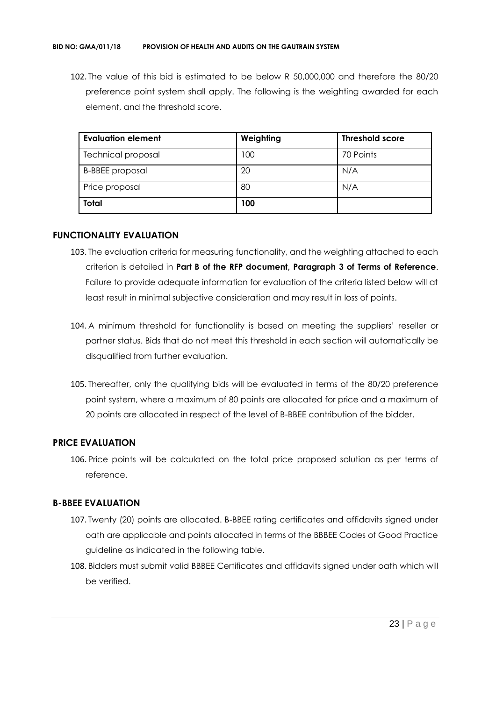102. The value of this bid is estimated to be below R 50,000,000 and therefore the 80/20 preference point system shall apply. The following is the weighting awarded for each element, and the threshold score.

| <b>Evaluation element</b> | Weighting | <b>Threshold score</b> |
|---------------------------|-----------|------------------------|
| <b>Technical proposal</b> | 100       | 70 Points              |
| <b>B-BBEE</b> proposal    | 20        | N/A                    |
| Price proposal            | 80        | N/A                    |
| <b>Total</b>              | 100       |                        |

#### **FUNCTIONALITY EVALUATION**

- 103. The evaluation criteria for measuring functionality, and the weighting attached to each criterion is detailed in **Part B of the RFP document, Paragraph 3 of Terms of Reference**. Failure to provide adequate information for evaluation of the criteria listed below will at least result in minimal subjective consideration and may result in loss of points.
- 104. A minimum threshold for functionality is based on meeting the suppliers' reseller or partner status. Bids that do not meet this threshold in each section will automatically be disqualified from further evaluation.
- 105. Thereafter, only the qualifying bids will be evaluated in terms of the 80/20 preference point system, where a maximum of 80 points are allocated for price and a maximum of 20 points are allocated in respect of the level of B-BBEE contribution of the bidder.

#### **PRICE EVALUATION**

106. Price points will be calculated on the total price proposed solution as per terms of reference.

#### **B-BBEE EVALUATION**

- 107. Twenty (20) points are allocated. B-BBEE rating certificates and affidavits signed under oath are applicable and points allocated in terms of the BBBEE Codes of Good Practice guideline as indicated in the following table.
- 108. Bidders must submit valid BBBEE Certificates and affidavits signed under oath which will be verified.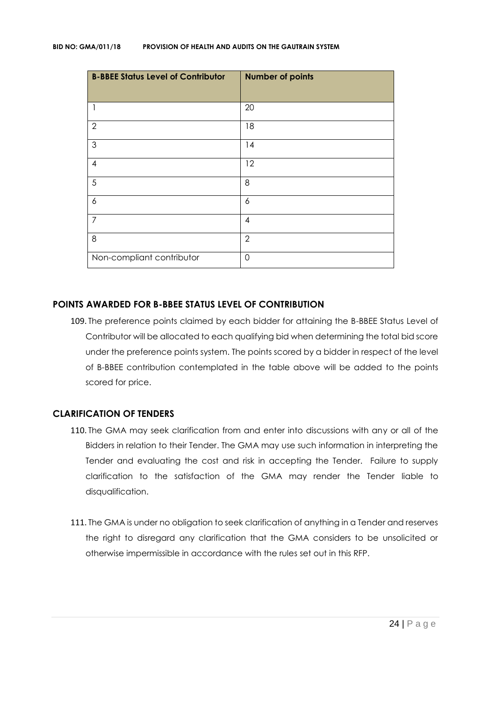| <b>B-BBEE Status Level of Contributor</b> | <b>Number of points</b> |
|-------------------------------------------|-------------------------|
| 1                                         | 20                      |
| $\overline{2}$                            | 18                      |
| $\mathfrak{S}$                            | 14                      |
| $\overline{\mathcal{A}}$                  | 12                      |
| 5                                         | 8                       |
| 6                                         | 6                       |
| $\overline{7}$                            | $\overline{4}$          |
| 8                                         | $\overline{2}$          |
| Non-compliant contributor                 | $\mathbf 0$             |

#### **POINTS AWARDED FOR B-BBEE STATUS LEVEL OF CONTRIBUTION**

109. The preference points claimed by each bidder for attaining the B-BBEE Status Level of Contributor will be allocated to each qualifying bid when determining the total bid score under the preference points system. The points scored by a bidder in respect of the level of B-BBEE contribution contemplated in the table above will be added to the points scored for price.

# **CLARIFICATION OF TENDERS**

- 110. The GMA may seek clarification from and enter into discussions with any or all of the Bidders in relation to their Tender. The GMA may use such information in interpreting the Tender and evaluating the cost and risk in accepting the Tender. Failure to supply clarification to the satisfaction of the GMA may render the Tender liable to disqualification.
- 111. The GMA is under no obligation to seek clarification of anything in a Tender and reserves the right to disregard any clarification that the GMA considers to be unsolicited or otherwise impermissible in accordance with the rules set out in this RFP.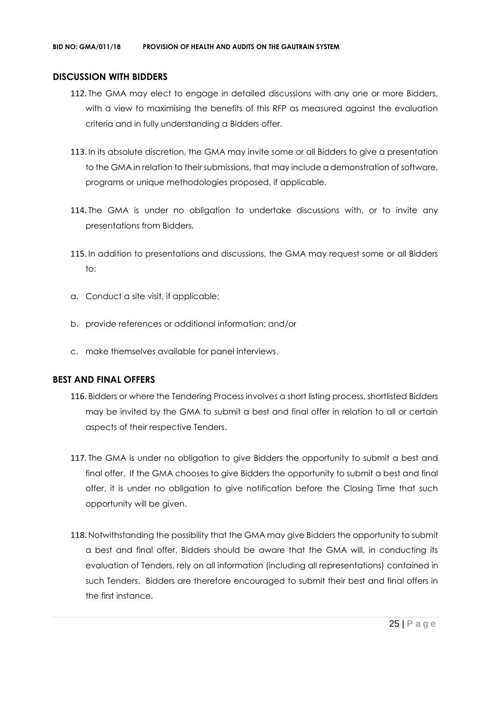#### **DISCUSSION WITH BIDDERS**

- 112. The GMA may elect to engage in detailed discussions with any one or more Bidders, with a view to maximising the benefits of this RFP as measured against the evaluation criteria and in fully understanding a Bidders offer.
- 113. In its absolute discretion, the GMA may invite some or all Bidders to give a presentation to the GMA in relation to their submissions, that may include a demonstration of software, programs or unique methodologies proposed, if applicable.
- 114. The GMA is under no obligation to undertake discussions with, or to invite any presentations from Bidders.
- 115. In addition to presentations and discussions, the GMA may request some or all Bidders to:
- a. Conduct a site visit, if applicable;
- b. provide references or additional information; and/or
- c. make themselves available for panel interviews.

#### **BEST AND FINAL OFFERS**

- 116. Bidders or where the Tendering Process involves a short listing process, shortlisted Bidders may be invited by the GMA to submit a best and final offer in relation to all or certain aspects of their respective Tenders.
- 117. The GMA is under no obligation to give Bidders the opportunity to submit a best and final offer. If the GMA chooses to give Bidders the opportunity to submit a best and final offer, it is under no obligation to give notification before the Closing Time that such opportunity will be given.
- 118. Notwithstanding the possibility that the GMA may give Bidders the opportunity to submit a best and final offer, Bidders should be aware that the GMA will, in conducting its evaluation of Tenders, rely on all information (including all representations) contained in such Tenders. Bidders are therefore encouraged to submit their best and final offers in the first instance.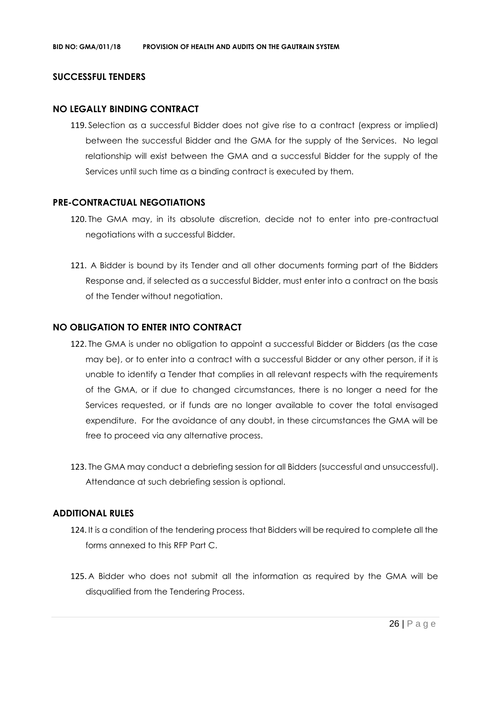#### **SUCCESSFUL TENDERS**

#### **NO LEGALLY BINDING CONTRACT**

119. Selection as a successful Bidder does not give rise to a contract (express or implied) between the successful Bidder and the GMA for the supply of the Services. No legal relationship will exist between the GMA and a successful Bidder for the supply of the Services until such time as a binding contract is executed by them.

#### **PRE-CONTRACTUAL NEGOTIATIONS**

- 120. The GMA may, in its absolute discretion, decide not to enter into pre-contractual negotiations with a successful Bidder.
- 121. A Bidder is bound by its Tender and all other documents forming part of the Bidders Response and, if selected as a successful Bidder, must enter into a contract on the basis of the Tender without negotiation.

#### **NO OBLIGATION TO ENTER INTO CONTRACT**

- 122. The GMA is under no obligation to appoint a successful Bidder or Bidders (as the case may be), or to enter into a contract with a successful Bidder or any other person, if it is unable to identify a Tender that complies in all relevant respects with the requirements of the GMA, or if due to changed circumstances, there is no longer a need for the Services requested, or if funds are no longer available to cover the total envisaged expenditure. For the avoidance of any doubt, in these circumstances the GMA will be free to proceed via any alternative process.
- 123. The GMA may conduct a debriefing session for all Bidders (successful and unsuccessful). Attendance at such debriefing session is optional.

#### **ADDITIONAL RULES**

- 124. It is a condition of the tendering process that Bidders will be required to complete all the forms annexed to this RFP Part C.
- 125. A Bidder who does not submit all the information as required by the GMA will be disqualified from the Tendering Process.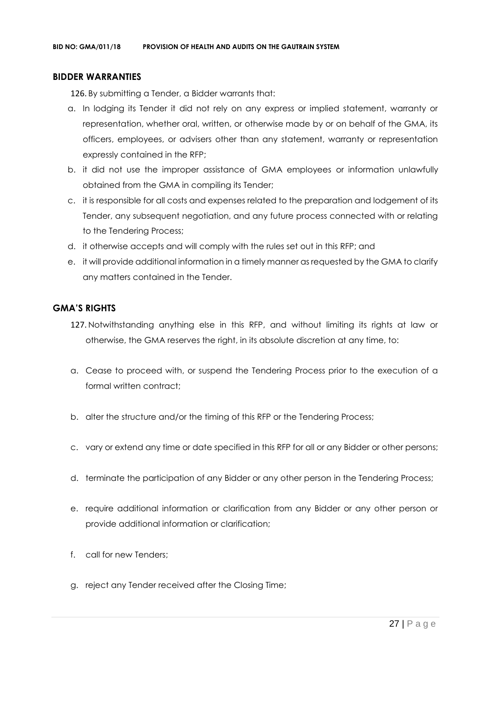#### **BIDDER WARRANTIES**

126. By submitting a Tender, a Bidder warrants that:

- a. In lodging its Tender it did not rely on any express or implied statement, warranty or representation, whether oral, written, or otherwise made by or on behalf of the GMA, its officers, employees, or advisers other than any statement, warranty or representation expressly contained in the RFP;
- b. it did not use the improper assistance of GMA employees or information unlawfully obtained from the GMA in compiling its Tender;
- c. it is responsible for all costs and expenses related to the preparation and lodgement of its Tender, any subsequent negotiation, and any future process connected with or relating to the Tendering Process;
- d. it otherwise accepts and will comply with the rules set out in this RFP; and
- e. it will provide additional information in a timely manner as requested by the GMA to clarify any matters contained in the Tender.

#### **GMA'S RIGHTS**

- 127. Notwithstanding anything else in this RFP, and without limiting its rights at law or otherwise, the GMA reserves the right, in its absolute discretion at any time, to:
- a. Cease to proceed with, or suspend the Tendering Process prior to the execution of a formal written contract:
- b. alter the structure and/or the timing of this RFP or the Tendering Process;
- c. vary or extend any time or date specified in this RFP for all or any Bidder or other persons;
- d. terminate the participation of any Bidder or any other person in the Tendering Process;
- e. require additional information or clarification from any Bidder or any other person or provide additional information or clarification;
- f. call for new Tenders;
- g. reject any Tender received after the Closing Time;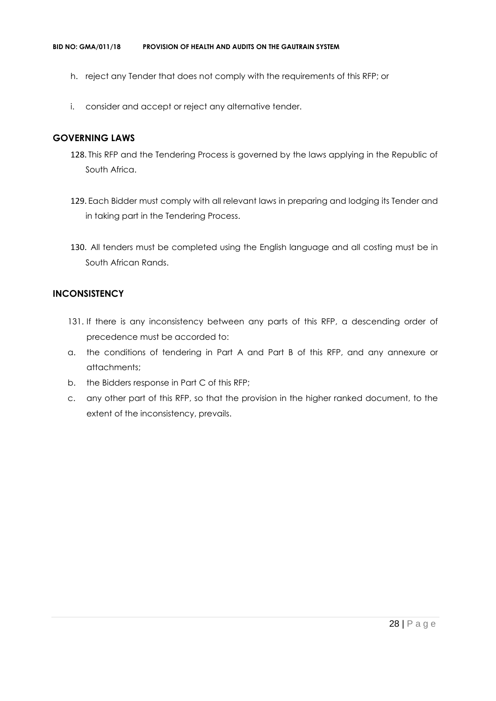- h. reject any Tender that does not comply with the requirements of this RFP; or
- i. consider and accept or reject any alternative tender.

#### **GOVERNING LAWS**

- 128. This RFP and the Tendering Process is governed by the laws applying in the Republic of South Africa.
- 129. Each Bidder must comply with all relevant laws in preparing and lodging its Tender and in taking part in the Tendering Process.
- 130. All tenders must be completed using the English language and all costing must be in South African Rands.

#### **INCONSISTENCY**

- 131. If there is any inconsistency between any parts of this RFP, a descending order of precedence must be accorded to:
- a. the conditions of tendering in Part A and Part B of this RFP, and any annexure or attachments;
- b. the Bidders response in Part C of this RFP;
- c. any other part of this RFP, so that the provision in the higher ranked document, to the extent of the inconsistency, prevails.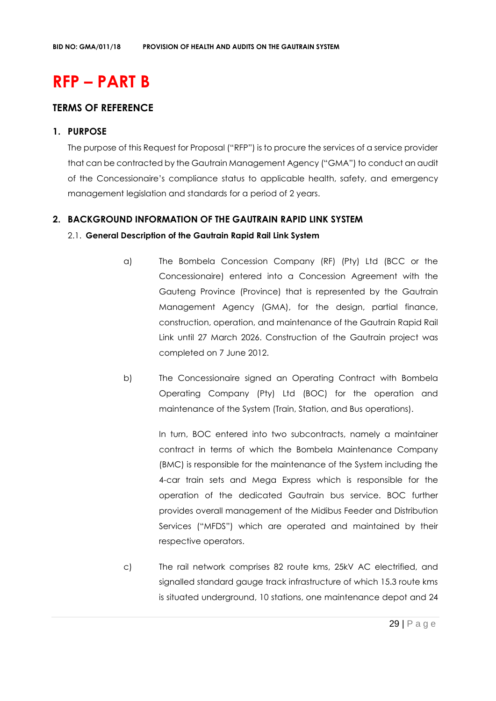# **RFP – PART B**

# **TERMS OF REFERENCE**

#### **1. PURPOSE**

The purpose of this Request for Proposal ("RFP") is to procure the services of a service provider that can be contracted by the Gautrain Management Agency ("GMA") to conduct an audit of the Concessionaire's compliance status to applicable health, safety, and emergency management legislation and standards for a period of 2 years.

#### **2. BACKGROUND INFORMATION OF THE GAUTRAIN RAPID LINK SYSTEM**

#### 2.1. **General Description of the Gautrain Rapid Rail Link System**

- a) The Bombela Concession Company (RF) (Pty) Ltd (BCC or the Concessionaire) entered into a Concession Agreement with the Gauteng Province (Province) that is represented by the Gautrain Management Agency (GMA), for the design, partial finance, construction, operation, and maintenance of the Gautrain Rapid Rail Link until 27 March 2026. Construction of the Gautrain project was completed on 7 June 2012.
- b) The Concessionaire signed an Operating Contract with Bombela Operating Company (Pty) Ltd (BOC) for the operation and maintenance of the System (Train, Station, and Bus operations).

In turn, BOC entered into two subcontracts, namely a maintainer contract in terms of which the Bombela Maintenance Company (BMC) is responsible for the maintenance of the System including the 4-car train sets and Mega Express which is responsible for the operation of the dedicated Gautrain bus service. BOC further provides overall management of the Midibus Feeder and Distribution Services ("MFDS") which are operated and maintained by their respective operators.

c) The rail network comprises 82 route kms, 25kV AC electrified, and signalled standard gauge track infrastructure of which 15.3 route kms is situated underground, 10 stations, one maintenance depot and 24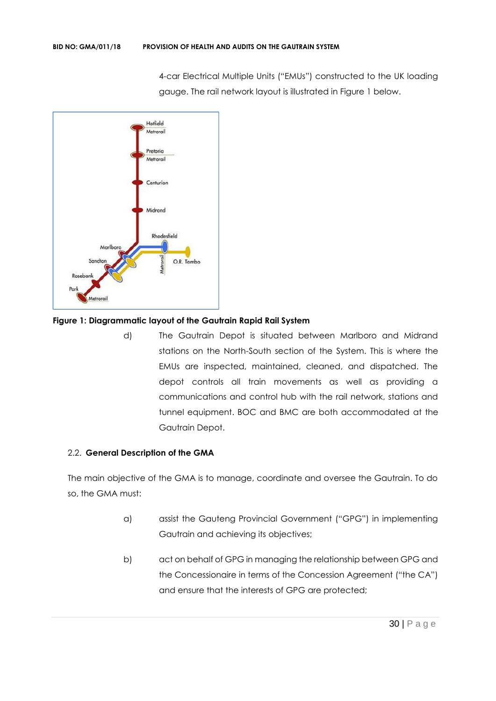4-car Electrical Multiple Units ("EMUs") constructed to the UK loading gauge. The rail network layout is illustrated in Figure 1 below.



#### **Figure 1: Diagrammatic layout of the Gautrain Rapid Rail System**

d) The Gautrain Depot is situated between Marlboro and Midrand stations on the North-South section of the System. This is where the EMUs are inspected, maintained, cleaned, and dispatched. The depot controls all train movements as well as providing a communications and control hub with the rail network, stations and tunnel equipment. BOC and BMC are both accommodated at the Gautrain Depot.

#### 2.2. **General Description of the GMA**

The main objective of the GMA is to manage, coordinate and oversee the Gautrain. To do so, the GMA must:

- a) assist the Gauteng Provincial Government ("GPG") in implementing Gautrain and achieving its objectives;
- b) act on behalf of GPG in managing the relationship between GPG and the Concessionaire in terms of the Concession Agreement ("the CA") and ensure that the interests of GPG are protected;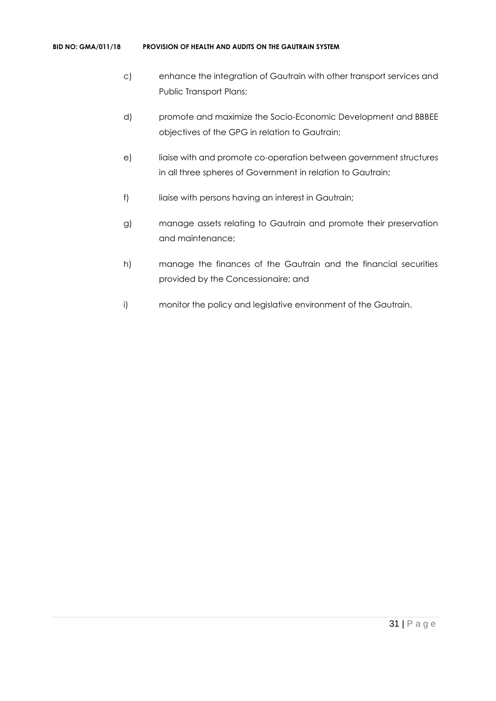#### **BID NO: GMA/011/18 PROVISION OF HEALTH AND AUDITS ON THE GAUTRAIN SYSTEM**

- c) enhance the integration of Gautrain with other transport services and Public Transport Plans;
- d) promote and maximize the Socio-Economic Development and BBBEE objectives of the GPG in relation to Gautrain;
- e) liaise with and promote co-operation between government structures in all three spheres of Government in relation to Gautrain;
- f) liaise with persons having an interest in Gautrain;
- g) manage assets relating to Gautrain and promote their preservation and maintenance;
- h) manage the finances of the Gautrain and the financial securities provided by the Concessionaire; and
- i) monitor the policy and legislative environment of the Gautrain.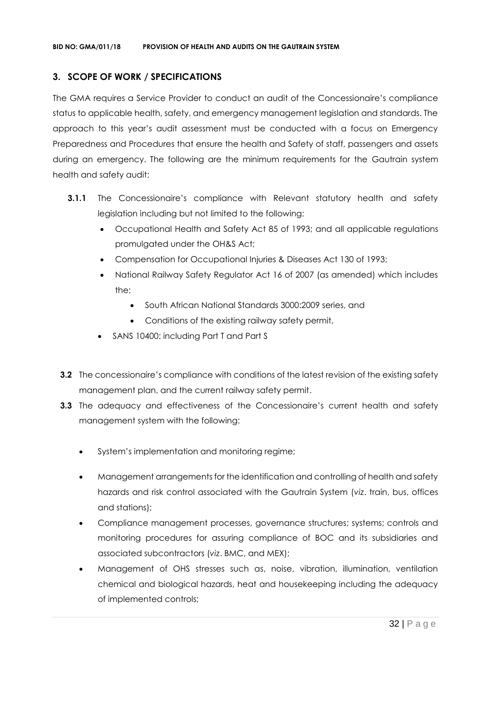### **3. SCOPE OF WORK / SPECIFICATIONS**

The GMA requires a Service Provider to conduct an audit of the Concessionaire's compliance status to applicable health, safety, and emergency management legislation and standards. The approach to this year's audit assessment must be conducted with a focus on Emergency Preparedness and Procedures that ensure the health and Safety of staff, passengers and assets during an emergency. The following are the minimum requirements for the Gautrain system health and safety audit:

- **3.1.1** The Concessionaire's compliance with Relevant statutory health and safety legislation including but not limited to the following:
	- Occupational Health and Safety Act 85 of 1993; and all applicable regulations promulgated under the OH&S Act;
	- Compensation for Occupational Injuries & Diseases Act 130 of 1993;
	- National Railway Safety Regulator Act 16 of 2007 (as amended) which includes the:
		- South African National Standards 3000:2009 series, and
		- Conditions of the existing railway safety permit,
	- SANS 10400: including Part T and Part S
- **3.2** The concessionaire's compliance with conditions of the latest revision of the existing safety management plan, and the current railway safety permit.
- **3.3** The adequacy and effectiveness of the Concessionaire's current health and safety management system with the following:
	- System's implementation and monitoring regime;
	- Management arrangements for the identification and controlling of health and safety hazards and risk control associated with the Gautrain System (*viz*. train, bus, offices and stations);
	- Compliance management processes, governance structures; systems; controls and monitoring procedures for assuring compliance of BOC and its subsidiaries and associated subcontractors (*viz*. BMC, and MEX);
	- Management of OHS stresses such as, noise, vibration, illumination, ventilation chemical and biological hazards, heat and housekeeping including the adequacy of implemented controls;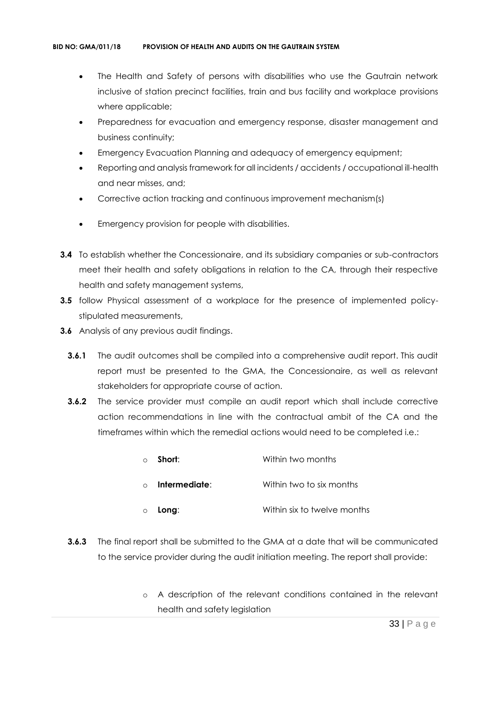- The Health and Safety of persons with disabilities who use the Gautrain network inclusive of station precinct facilities, train and bus facility and workplace provisions where applicable;
- Preparedness for evacuation and emergency response, disaster management and business continuity;
- Emergency Evacuation Planning and adequacy of emergency equipment;
- Reporting and analysis framework for all incidents / accidents / occupational ill-health and near misses, and;
- Corrective action tracking and continuous improvement mechanism(s)
- Emergency provision for people with disabilities.
- **3.4** To establish whether the Concessionaire, and its subsidiary companies or sub-contractors meet their health and safety obligations in relation to the CA, through their respective health and safety management systems,
- **3.5** follow Physical assessment of a workplace for the presence of implemented policystipulated measurements,
- **3.6** Analysis of any previous audit findings.
	- **3.6.1** The audit outcomes shall be compiled into a comprehensive audit report. This audit report must be presented to the GMA, the Concessionaire, as well as relevant stakeholders for appropriate course of action.
	- **3.6.2** The service provider must compile an audit report which shall include corrective action recommendations in line with the contractual ambit of the CA and the timeframes within which the remedial actions would need to be completed i.e.:

| $\circ$  | Short:        | Within two months           |
|----------|---------------|-----------------------------|
| $\Omega$ | Intermediate: | Within two to six months    |
| $\circ$  | Long:         | Within six to twelve months |

- **3.6.3** The final report shall be submitted to the GMA at a date that will be communicated to the service provider during the audit initiation meeting. The report shall provide:
	- o A description of the relevant conditions contained in the relevant health and safety legislation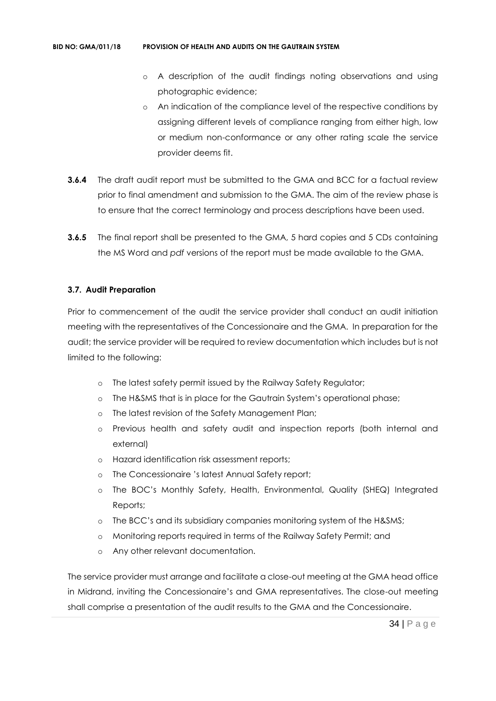- o A description of the audit findings noting observations and using photographic evidence;
- An indication of the compliance level of the respective conditions by assigning different levels of compliance ranging from either high, low or medium non-conformance or any other rating scale the service provider deems fit.
- **3.6.4** The draft audit report must be submitted to the GMA and BCC for a factual review prior to final amendment and submission to the GMA. The aim of the review phase is to ensure that the correct terminology and process descriptions have been used.
- **3.6.5** The final report shall be presented to the GMA, 5 hard copies and 5 CDs containing the MS Word and *pdf* versions of the report must be made available to the GMA.

#### **3.7. Audit Preparation**

Prior to commencement of the audit the service provider shall conduct an audit initiation meeting with the representatives of the Concessionaire and the GMA. In preparation for the audit; the service provider will be required to review documentation which includes but is not limited to the following:

- o The latest safety permit issued by the Railway Safety Regulator;
- o The H&SMS that is in place for the Gautrain System's operational phase;
- o The latest revision of the Safety Management Plan;
- o Previous health and safety audit and inspection reports (both internal and external)
- o Hazard identification risk assessment reports;
- o The Concessionaire 's latest Annual Safety report;
- o The BOC's Monthly Safety, Health, Environmental, Quality (SHEQ) Integrated Reports;
- o The BCC's and its subsidiary companies monitoring system of the H&SMS;
- o Monitoring reports required in terms of the Railway Safety Permit; and
- o Any other relevant documentation.

The service provider must arrange and facilitate a close-out meeting at the GMA head office in Midrand, inviting the Concessionaire's and GMA representatives. The close-out meeting shall comprise a presentation of the audit results to the GMA and the Concessionaire.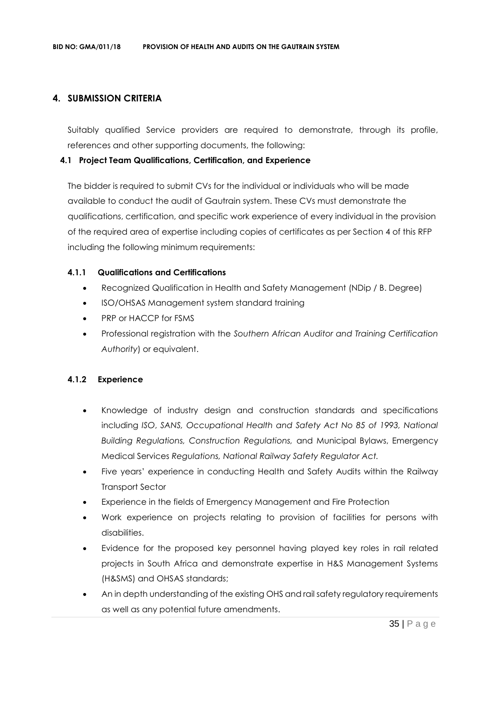#### **4. SUBMISSION CRITERIA**

Suitably qualified Service providers are required to demonstrate, through its profile, references and other supporting documents, the following:

#### **4.1 Project Team Qualifications, Certification, and Experience**

The bidder is required to submit CVs for the individual or individuals who will be made available to conduct the audit of Gautrain system. These CVs must demonstrate the qualifications, certification, and specific work experience of every individual in the provision of the required area of expertise including copies of certificates as per Section 4 of this RFP including the following minimum requirements:

#### **4.1.1 Qualifications and Certifications**

- Recognized Qualification in Health and Safety Management (NDip / B. Degree)
- ISO/OHSAS Management system standard training
- PRP or HACCP for FSMS
- Professional registration with the *Southern African Auditor and Training Certification Authority*) or equivalent.

#### **4.1.2 Experience**

- Knowledge of industry design and construction standards and specifications including *ISO*, *SANS, Occupational Health and Safety Act No 85 of 1993, National Building Regulations, Construction Regulations,* and Municipal Bylaws, Emergency Medical Services *Regulations, National Railway Safety Regulator Act.*
- Five years' experience in conducting Health and Safety Audits within the Railway Transport Sector
- Experience in the fields of Emergency Management and Fire Protection
- Work experience on projects relating to provision of facilities for persons with disabilities.
- Evidence for the proposed key personnel having played key roles in rail related projects in South Africa and demonstrate expertise in H&S Management Systems (H&SMS) and OHSAS standards;
- An in depth understanding of the existing OHS and rail safety regulatory requirements as well as any potential future amendments.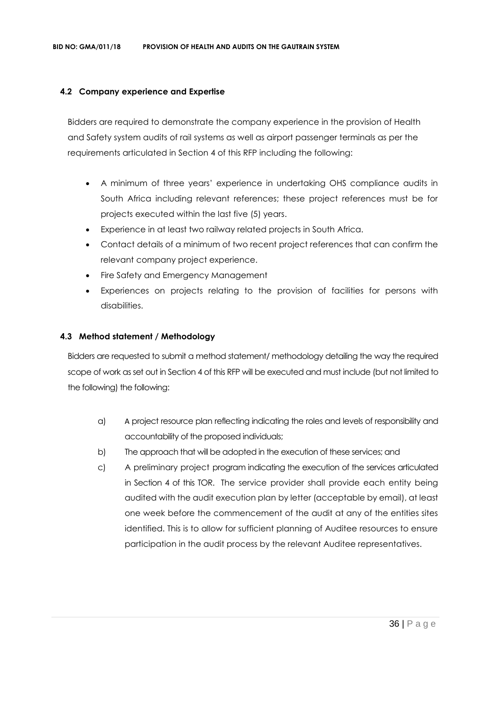#### **4.2 Company experience and Expertise**

Bidders are required to demonstrate the company experience in the provision of Health and Safety system audits of rail systems as well as airport passenger terminals as per the requirements articulated in Section 4 of this RFP including the following:

- A minimum of three years' experience in undertaking OHS compliance audits in South Africa including relevant references; these project references must be for projects executed within the last five (5) years.
- Experience in at least two railway related projects in South Africa.
- Contact details of a minimum of two recent project references that can confirm the relevant company project experience.
- Fire Safety and Emergency Management
- Experiences on projects relating to the provision of facilities for persons with disabilities.

#### **4.3 Method statement / Methodology**

Bidders are requested to submit a method statement/ methodology detailing the way the required scope of work as set out in Section 4 of this RFP will be executed and must include (but not limited to the following) the following:

- a) A project resource plan reflecting indicating the roles and levels of responsibility and accountability of the proposed individuals;
- b) The approach that will be adopted in the execution of these services; and
- c) A preliminary project program indicating the execution of the services articulated in Section 4 of this TOR. The service provider shall provide each entity being audited with the audit execution plan by letter (acceptable by email), at least one week before the commencement of the audit at any of the entities sites identified. This is to allow for sufficient planning of Auditee resources to ensure participation in the audit process by the relevant Auditee representatives.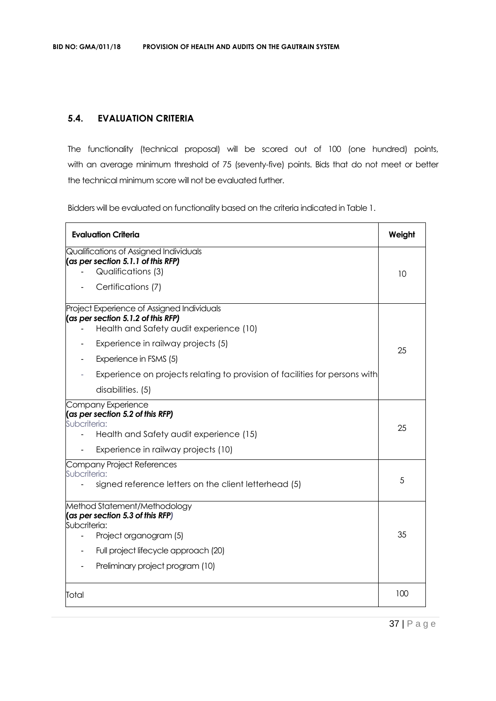# **5.4. EVALUATION CRITERIA**

The functionality (technical proposal) will be scored out of 100 (one hundred) points, with an average minimum threshold of 75 (seventy-five) points. Bids that do not meet or better the technical minimum score will not be evaluated further.

Bidders will be evaluated on functionality based on the criteria indicated in Table 1.

| <b>Evaluation Criteria</b>                                                                                                                                                                                                                                                                         | Weight |
|----------------------------------------------------------------------------------------------------------------------------------------------------------------------------------------------------------------------------------------------------------------------------------------------------|--------|
| Qualifications of Assigned Individuals<br>$\alpha$ per section 5.1.1 of this RFP)<br>Qualifications (3)<br>Certifications (7)                                                                                                                                                                      | 10     |
| Project Experience of Assigned Individuals<br>$\cos$ per section 5.1.2 of this RFP)<br>Health and Safety audit experience (10)<br>Experience in railway projects (5)<br>Experience in FSMS (5)<br>Experience on projects relating to provision of facilities for persons with<br>disabilities. (5) | 25     |
| Company Experience<br>(as per section 5.2 of this RFP)<br>Subcriteria:<br>Health and Safety audit experience (15)<br>Experience in railway projects (10)                                                                                                                                           | 25     |
| Company Project References<br>Subcriteria:<br>signed reference letters on the client letterhead (5)                                                                                                                                                                                                | 5      |
| Method Statement/Methodology<br>(as per section 5.3 of this RFP)<br>Subcriteria:<br>Project organogram (5)<br>$\blacksquare$<br>Full project lifecycle approach (20)<br>Preliminary project program (10)                                                                                           | 35     |
| Total                                                                                                                                                                                                                                                                                              | 100    |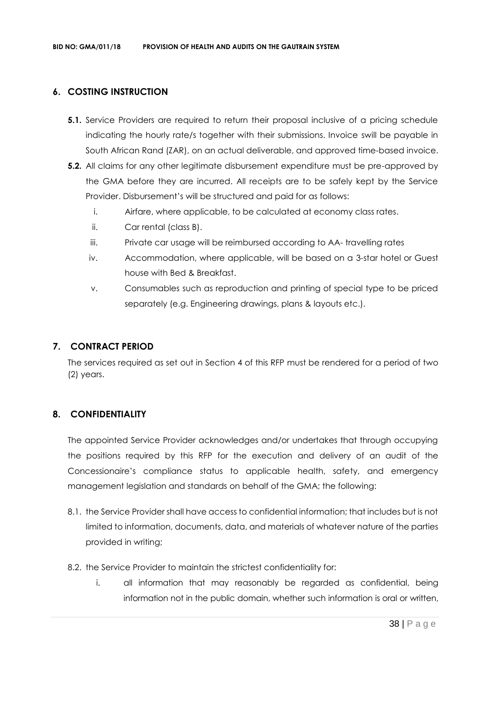# **6. COSTING INSTRUCTION**

- **5.1.** Service Providers are required to return their proposal inclusive of a pricing schedule indicating the hourly rate/s together with their submissions. Invoice swill be payable in South African Rand (ZAR), on an actual deliverable, and approved time-based invoice.
- **5.2.** All claims for any other legitimate disbursement expenditure must be pre-approved by the GMA before they are incurred. All receipts are to be safely kept by the Service Provider. Disbursement's will be structured and paid for as follows:
	- i. Airfare, where applicable, to be calculated at economy class rates.
	- ii. Car rental (class B).
	- iii. Private car usage will be reimbursed according to AA- travelling rates
	- iv. Accommodation, where applicable, will be based on a 3-star hotel or Guest house with Bed & Breakfast.
	- v. Consumables such as reproduction and printing of special type to be priced separately (e.g. Engineering drawings, plans & layouts etc.).

## **7. CONTRACT PERIOD**

The services required as set out in Section 4 of this RFP must be rendered for a period of two (2) years.

# **8. CONFIDENTIALITY**

The appointed Service Provider acknowledges and/or undertakes that through occupying the positions required by this RFP for the execution and delivery of an audit of the Concessionaire's compliance status to applicable health, safety, and emergency management legislation and standards on behalf of the GMA; the following:

- 8.1. the Service Provider shall have access to confidential information; that includes but is not limited to information, documents, data, and materials of whatever nature of the parties provided in writing;
- 8.2. the Service Provider to maintain the strictest confidentiality for:
	- i. all information that may reasonably be regarded as confidential, being information not in the public domain, whether such information is oral or written,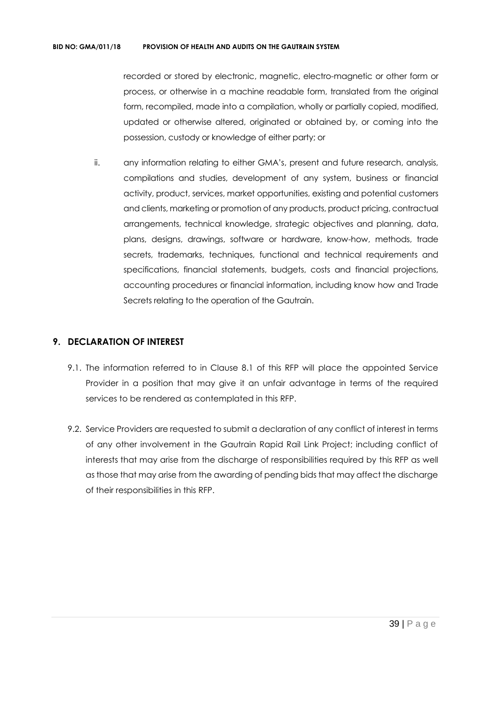recorded or stored by electronic, magnetic, electro-magnetic or other form or process, or otherwise in a machine readable form, translated from the original form, recompiled, made into a compilation, wholly or partially copied, modified, updated or otherwise altered, originated or obtained by, or coming into the possession, custody or knowledge of either party; or

ii. any information relating to either GMA's, present and future research, analysis, compilations and studies, development of any system, business or financial activity, product, services, market opportunities, existing and potential customers and clients, marketing or promotion of any products, product pricing, contractual arrangements, technical knowledge, strategic objectives and planning, data, plans, designs, drawings, software or hardware, know-how, methods, trade secrets, trademarks, techniques, functional and technical requirements and specifications, financial statements, budgets, costs and financial projections, accounting procedures or financial information, including know how and Trade Secrets relating to the operation of the Gautrain.

## **9. DECLARATION OF INTEREST**

- 9.1. The information referred to in Clause 8.1 of this RFP will place the appointed Service Provider in a position that may give it an unfair advantage in terms of the required services to be rendered as contemplated in this RFP.
- 9.2. Service Providers are requested to submit a declaration of any conflict of interest in terms of any other involvement in the Gautrain Rapid Rail Link Project; including conflict of interests that may arise from the discharge of responsibilities required by this RFP as well as those that may arise from the awarding of pending bids that may affect the discharge of their responsibilities in this RFP.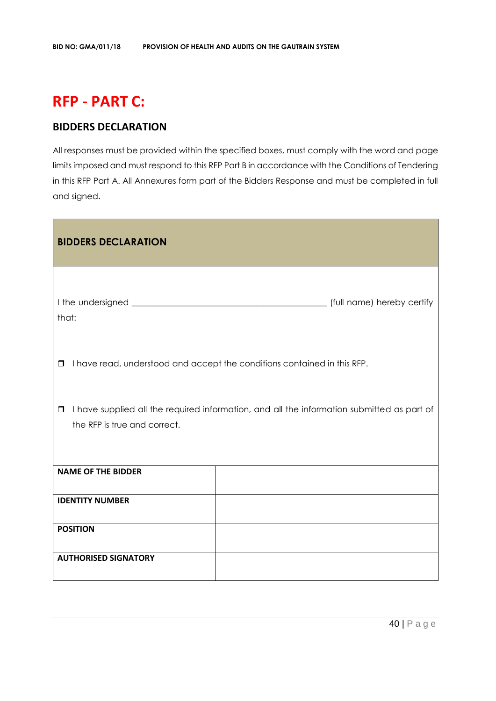# **RFP - PART C:**

# **BIDDERS DECLARATION**

All responses must be provided within the specified boxes, must comply with the word and page limits imposed and must respond to this RFP Part B in accordance with the Conditions of Tendering in this RFP Part A. All Annexures form part of the Bidders Response and must be completed in full and signed.

| <b>BIDDERS DECLARATION</b>             |                                                                                            |
|----------------------------------------|--------------------------------------------------------------------------------------------|
| that:                                  |                                                                                            |
| $\Box$                                 | I have read, understood and accept the conditions contained in this RFP.                   |
| $\Box$<br>the RFP is true and correct. | I have supplied all the required information, and all the information submitted as part of |
| <b>NAME OF THE BIDDER</b>              |                                                                                            |
| <b>IDENTITY NUMBER</b>                 |                                                                                            |
| <b>POSITION</b>                        |                                                                                            |
| <b>AUTHORISED SIGNATORY</b>            |                                                                                            |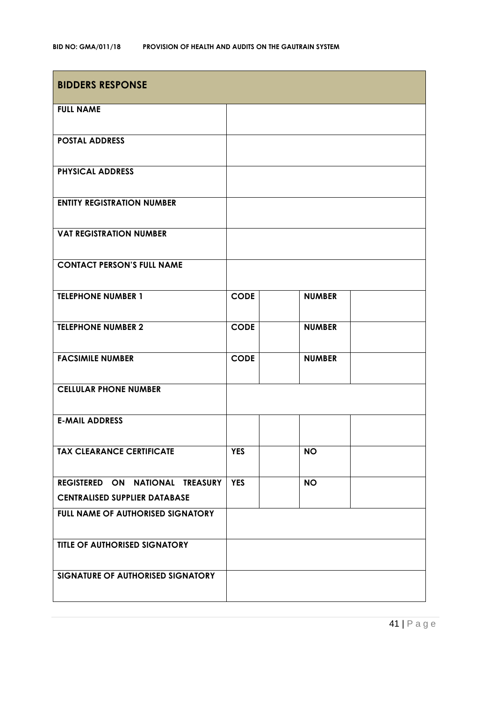| <b>BIDDERS RESPONSE</b>              |             |               |
|--------------------------------------|-------------|---------------|
| <b>FULL NAME</b>                     |             |               |
| <b>POSTAL ADDRESS</b>                |             |               |
| <b>PHYSICAL ADDRESS</b>              |             |               |
| <b>ENTITY REGISTRATION NUMBER</b>    |             |               |
| <b>VAT REGISTRATION NUMBER</b>       |             |               |
| <b>CONTACT PERSON'S FULL NAME</b>    |             |               |
| <b>TELEPHONE NUMBER 1</b>            | <b>CODE</b> | <b>NUMBER</b> |
| <b>TELEPHONE NUMBER 2</b>            | <b>CODE</b> | <b>NUMBER</b> |
| <b>FACSIMILE NUMBER</b>              | <b>CODE</b> | <b>NUMBER</b> |
| <b>CELLULAR PHONE NUMBER</b>         |             |               |
| <b>E-MAIL ADDRESS</b>                |             |               |
| <b>TAX CLEARANCE CERTIFICATE</b>     | <b>YES</b>  | <b>NO</b>     |
| REGISTERED ON NATIONAL TREASURY      | <b>YES</b>  | <b>NO</b>     |
| <b>CENTRALISED SUPPLIER DATABASE</b> |             |               |
| FULL NAME OF AUTHORISED SIGNATORY    |             |               |
| TITLE OF AUTHORISED SIGNATORY        |             |               |
| SIGNATURE OF AUTHORISED SIGNATORY    |             |               |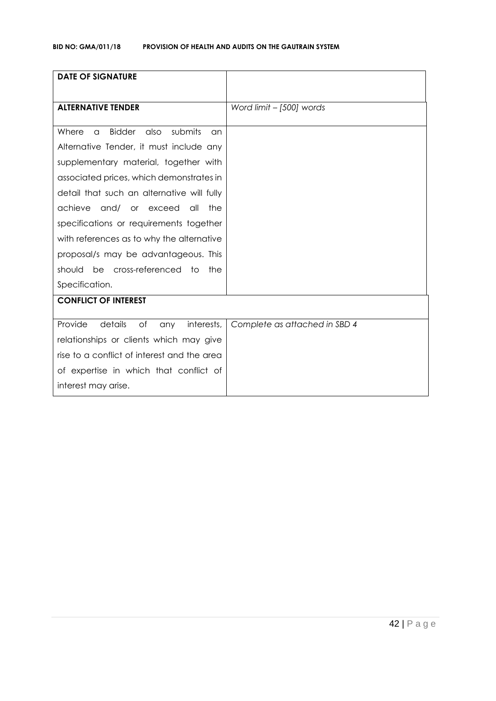| <b>DATE OF SIGNATURE</b>                                    |                               |
|-------------------------------------------------------------|-------------------------------|
| <b>ALTERNATIVE TENDER</b>                                   | Word limit - [500] words      |
| <b>Bidder</b><br>also<br>submits<br>Where<br>$\alpha$<br>an |                               |
| Alternative Tender, it must include any                     |                               |
| supplementary material, together with                       |                               |
| associated prices, which demonstrates in                    |                               |
| detail that such an alternative will fully                  |                               |
| achieve<br>and/ or exceed<br>all<br>the                     |                               |
| specifications or requirements together                     |                               |
| with references as to why the alternative                   |                               |
| proposal/s may be advantageous. This                        |                               |
| be cross-referenced to<br>should<br>the                     |                               |
| Specification.                                              |                               |
| <b>CONFLICT OF INTEREST</b>                                 |                               |
| details<br>Provide<br>of<br>interests,<br>any               | Complete as attached in SBD 4 |
|                                                             |                               |
| relationships or clients which may give                     |                               |
| rise to a conflict of interest and the area                 |                               |
| of expertise in which that conflict of                      |                               |
| interest may arise.                                         |                               |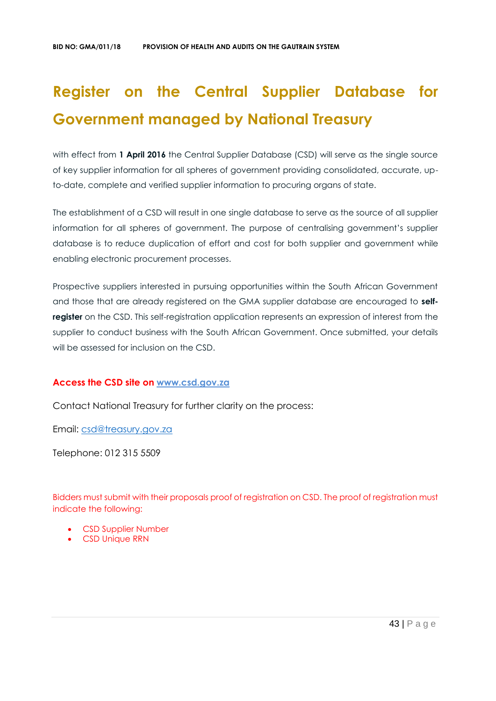# **Register on the Central Supplier Database for Government managed by National Treasury**

with effect from 1 April 2016 the Central Supplier Database (CSD) will serve as the single source of key supplier information for all spheres of government providing consolidated, accurate, upto-date, complete and verified supplier information to procuring organs of state.

The establishment of a CSD will result in one single database to serve as the source of all supplier information for all spheres of government. The purpose of centralising government's supplier database is to reduce duplication of effort and cost for both supplier and government while enabling electronic procurement processes.

Prospective suppliers interested in pursuing opportunities within the South African Government and those that are already registered on the GMA supplier database are encouraged to **selfregister** on the CSD. This self-registration application represents an expression of interest from the supplier to conduct business with the South African Government. Once submitted, your details will be assessed for inclusion on the CSD.

# **Access the CSD site on [www.csd.gov.za](http://www.csd.gov.za/)**

Contact National Treasury for further clarity on the process:

Email: [csd@treasury.gov.za](mailto:csd@treasury.gov.za)

Telephone: 012 315 5509

Bidders must submit with their proposals proof of registration on CSD. The proof of registration must indicate the following:

- CSD Supplier Number
- CSD Unique RRN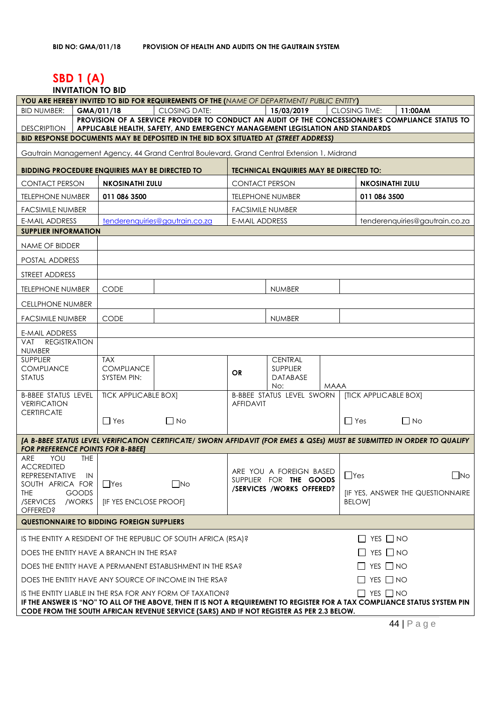# **SBD 1 (A)**

#### **INVITATION TO BID**

| <b>BID NUMBER:</b><br>GMA/011/18<br>15/03/2019<br><b>CLOSING TIME:</b><br>11:00AM<br><b>CLOSING DATE:</b><br>PROVISION OF A SERVICE PROVIDER TO CONDUCT AN AUDIT OF THE CONCESSIONAIRE'S COMPLIANCE STATUS TO<br><b>DESCRIPTION</b><br>APPLICABLE HEALTH, SAFETY, AND EMERGENCY MANAGEMENT LEGISLATION AND STANDARDS<br>BID RESPONSE DOCUMENTS MAY BE DEPOSITED IN THE BID BOX SITUATED AT (STREET ADDRESS)<br>Gautrain Management Agency, 44 Grand Central Boulevard, Grand Central Extension 1, Midrand<br>BIDDING PROCEDURE ENQUIRIES MAY BE DIRECTED TO<br><b>TECHNICAL ENQUIRIES MAY BE DIRECTED TO:</b><br><b>CONTACT PERSON</b><br><b>CONTACT PERSON</b><br><b>NKOSINATHI ZULU</b><br><b>NKOSINATHI ZULU</b><br><b>TELEPHONE NUMBER</b><br>011 086 3500<br><b>TELEPHONE NUMBER</b><br>011 086 3500<br><b>FACSIMILE NUMBER</b><br><b>FACSIMILE NUMBER</b><br>E-MAIL ADDRESS<br>tenderenquiries@gautrain.co.za<br><b>E-MAIL ADDRESS</b><br>tenderenquiries@gautrain.co.za<br><b>SUPPLIER INFORMATION</b><br><b>NAME OF BIDDER</b><br>POSTAL ADDRESS<br>STREET ADDRESS<br><b>TELEPHONE NUMBER</b><br><b>CODE</b><br><b>NUMBER</b><br>CELLPHONE NUMBER<br><b>CODE</b><br><b>NUMBER</b><br><b>FACSIMILE NUMBER</b><br>E-MAIL ADDRESS<br><b>REGISTRATION</b><br>VAT<br><b>NUMBER</b><br><b>TAX</b><br><b>CENTRAL</b><br><b>SUPPLIER</b><br><b>COMPLIANCE</b><br><b>SUPPLIER</b><br><b>COMPLIANCE</b><br>OR<br><b>STATUS</b><br>SYSTEM PIN:<br><b>DATABASE</b><br>No:<br><b>MAAA</b><br><b>B-BBEE STATUS LEVEL SWORN</b><br><b>TICK APPLICABLE BOXI</b><br><b>[TICK APPLICABLE BOX]</b><br><b>B-BBEE STATUS LEVEL</b><br><b>VERIFICATION</b><br><b>AFFIDAVIT</b><br><b>CERTIFICATE</b><br>$\Box$ Yes<br>$\Box$ Yes<br>$\Box$ No<br>$\Box$ No<br>[A B-BBEE STATUS LEVEL VERIFICATION CERTIFICATE/ SWORN AFFIDAVIT (FOR EMES & QSEs) MUST BE SUBMITTED IN ORDER TO QUALIFY<br><b>FOR PREFERENCE POINTS FOR B-BBEET</b><br><b>ARE</b><br><b>THE</b><br>YOU |  |  |
|---------------------------------------------------------------------------------------------------------------------------------------------------------------------------------------------------------------------------------------------------------------------------------------------------------------------------------------------------------------------------------------------------------------------------------------------------------------------------------------------------------------------------------------------------------------------------------------------------------------------------------------------------------------------------------------------------------------------------------------------------------------------------------------------------------------------------------------------------------------------------------------------------------------------------------------------------------------------------------------------------------------------------------------------------------------------------------------------------------------------------------------------------------------------------------------------------------------------------------------------------------------------------------------------------------------------------------------------------------------------------------------------------------------------------------------------------------------------------------------------------------------------------------------------------------------------------------------------------------------------------------------------------------------------------------------------------------------------------------------------------------------------------------------------------------------------------------------------------------------------------------------------------------------------------------------------------------|--|--|
|                                                                                                                                                                                                                                                                                                                                                                                                                                                                                                                                                                                                                                                                                                                                                                                                                                                                                                                                                                                                                                                                                                                                                                                                                                                                                                                                                                                                                                                                                                                                                                                                                                                                                                                                                                                                                                                                                                                                                         |  |  |
|                                                                                                                                                                                                                                                                                                                                                                                                                                                                                                                                                                                                                                                                                                                                                                                                                                                                                                                                                                                                                                                                                                                                                                                                                                                                                                                                                                                                                                                                                                                                                                                                                                                                                                                                                                                                                                                                                                                                                         |  |  |
|                                                                                                                                                                                                                                                                                                                                                                                                                                                                                                                                                                                                                                                                                                                                                                                                                                                                                                                                                                                                                                                                                                                                                                                                                                                                                                                                                                                                                                                                                                                                                                                                                                                                                                                                                                                                                                                                                                                                                         |  |  |
|                                                                                                                                                                                                                                                                                                                                                                                                                                                                                                                                                                                                                                                                                                                                                                                                                                                                                                                                                                                                                                                                                                                                                                                                                                                                                                                                                                                                                                                                                                                                                                                                                                                                                                                                                                                                                                                                                                                                                         |  |  |
|                                                                                                                                                                                                                                                                                                                                                                                                                                                                                                                                                                                                                                                                                                                                                                                                                                                                                                                                                                                                                                                                                                                                                                                                                                                                                                                                                                                                                                                                                                                                                                                                                                                                                                                                                                                                                                                                                                                                                         |  |  |
|                                                                                                                                                                                                                                                                                                                                                                                                                                                                                                                                                                                                                                                                                                                                                                                                                                                                                                                                                                                                                                                                                                                                                                                                                                                                                                                                                                                                                                                                                                                                                                                                                                                                                                                                                                                                                                                                                                                                                         |  |  |
|                                                                                                                                                                                                                                                                                                                                                                                                                                                                                                                                                                                                                                                                                                                                                                                                                                                                                                                                                                                                                                                                                                                                                                                                                                                                                                                                                                                                                                                                                                                                                                                                                                                                                                                                                                                                                                                                                                                                                         |  |  |
|                                                                                                                                                                                                                                                                                                                                                                                                                                                                                                                                                                                                                                                                                                                                                                                                                                                                                                                                                                                                                                                                                                                                                                                                                                                                                                                                                                                                                                                                                                                                                                                                                                                                                                                                                                                                                                                                                                                                                         |  |  |
|                                                                                                                                                                                                                                                                                                                                                                                                                                                                                                                                                                                                                                                                                                                                                                                                                                                                                                                                                                                                                                                                                                                                                                                                                                                                                                                                                                                                                                                                                                                                                                                                                                                                                                                                                                                                                                                                                                                                                         |  |  |
|                                                                                                                                                                                                                                                                                                                                                                                                                                                                                                                                                                                                                                                                                                                                                                                                                                                                                                                                                                                                                                                                                                                                                                                                                                                                                                                                                                                                                                                                                                                                                                                                                                                                                                                                                                                                                                                                                                                                                         |  |  |
|                                                                                                                                                                                                                                                                                                                                                                                                                                                                                                                                                                                                                                                                                                                                                                                                                                                                                                                                                                                                                                                                                                                                                                                                                                                                                                                                                                                                                                                                                                                                                                                                                                                                                                                                                                                                                                                                                                                                                         |  |  |
|                                                                                                                                                                                                                                                                                                                                                                                                                                                                                                                                                                                                                                                                                                                                                                                                                                                                                                                                                                                                                                                                                                                                                                                                                                                                                                                                                                                                                                                                                                                                                                                                                                                                                                                                                                                                                                                                                                                                                         |  |  |
|                                                                                                                                                                                                                                                                                                                                                                                                                                                                                                                                                                                                                                                                                                                                                                                                                                                                                                                                                                                                                                                                                                                                                                                                                                                                                                                                                                                                                                                                                                                                                                                                                                                                                                                                                                                                                                                                                                                                                         |  |  |
|                                                                                                                                                                                                                                                                                                                                                                                                                                                                                                                                                                                                                                                                                                                                                                                                                                                                                                                                                                                                                                                                                                                                                                                                                                                                                                                                                                                                                                                                                                                                                                                                                                                                                                                                                                                                                                                                                                                                                         |  |  |
|                                                                                                                                                                                                                                                                                                                                                                                                                                                                                                                                                                                                                                                                                                                                                                                                                                                                                                                                                                                                                                                                                                                                                                                                                                                                                                                                                                                                                                                                                                                                                                                                                                                                                                                                                                                                                                                                                                                                                         |  |  |
|                                                                                                                                                                                                                                                                                                                                                                                                                                                                                                                                                                                                                                                                                                                                                                                                                                                                                                                                                                                                                                                                                                                                                                                                                                                                                                                                                                                                                                                                                                                                                                                                                                                                                                                                                                                                                                                                                                                                                         |  |  |
|                                                                                                                                                                                                                                                                                                                                                                                                                                                                                                                                                                                                                                                                                                                                                                                                                                                                                                                                                                                                                                                                                                                                                                                                                                                                                                                                                                                                                                                                                                                                                                                                                                                                                                                                                                                                                                                                                                                                                         |  |  |
|                                                                                                                                                                                                                                                                                                                                                                                                                                                                                                                                                                                                                                                                                                                                                                                                                                                                                                                                                                                                                                                                                                                                                                                                                                                                                                                                                                                                                                                                                                                                                                                                                                                                                                                                                                                                                                                                                                                                                         |  |  |
|                                                                                                                                                                                                                                                                                                                                                                                                                                                                                                                                                                                                                                                                                                                                                                                                                                                                                                                                                                                                                                                                                                                                                                                                                                                                                                                                                                                                                                                                                                                                                                                                                                                                                                                                                                                                                                                                                                                                                         |  |  |
|                                                                                                                                                                                                                                                                                                                                                                                                                                                                                                                                                                                                                                                                                                                                                                                                                                                                                                                                                                                                                                                                                                                                                                                                                                                                                                                                                                                                                                                                                                                                                                                                                                                                                                                                                                                                                                                                                                                                                         |  |  |
|                                                                                                                                                                                                                                                                                                                                                                                                                                                                                                                                                                                                                                                                                                                                                                                                                                                                                                                                                                                                                                                                                                                                                                                                                                                                                                                                                                                                                                                                                                                                                                                                                                                                                                                                                                                                                                                                                                                                                         |  |  |
|                                                                                                                                                                                                                                                                                                                                                                                                                                                                                                                                                                                                                                                                                                                                                                                                                                                                                                                                                                                                                                                                                                                                                                                                                                                                                                                                                                                                                                                                                                                                                                                                                                                                                                                                                                                                                                                                                                                                                         |  |  |
|                                                                                                                                                                                                                                                                                                                                                                                                                                                                                                                                                                                                                                                                                                                                                                                                                                                                                                                                                                                                                                                                                                                                                                                                                                                                                                                                                                                                                                                                                                                                                                                                                                                                                                                                                                                                                                                                                                                                                         |  |  |
|                                                                                                                                                                                                                                                                                                                                                                                                                                                                                                                                                                                                                                                                                                                                                                                                                                                                                                                                                                                                                                                                                                                                                                                                                                                                                                                                                                                                                                                                                                                                                                                                                                                                                                                                                                                                                                                                                                                                                         |  |  |
|                                                                                                                                                                                                                                                                                                                                                                                                                                                                                                                                                                                                                                                                                                                                                                                                                                                                                                                                                                                                                                                                                                                                                                                                                                                                                                                                                                                                                                                                                                                                                                                                                                                                                                                                                                                                                                                                                                                                                         |  |  |
|                                                                                                                                                                                                                                                                                                                                                                                                                                                                                                                                                                                                                                                                                                                                                                                                                                                                                                                                                                                                                                                                                                                                                                                                                                                                                                                                                                                                                                                                                                                                                                                                                                                                                                                                                                                                                                                                                                                                                         |  |  |
| <b>ACCREDITED</b><br>ARE YOU A FOREIGN BASED                                                                                                                                                                                                                                                                                                                                                                                                                                                                                                                                                                                                                                                                                                                                                                                                                                                                                                                                                                                                                                                                                                                                                                                                                                                                                                                                                                                                                                                                                                                                                                                                                                                                                                                                                                                                                                                                                                            |  |  |
| $\square$ No<br>$\Box$ Yes<br><b>REPRESENTATIVE</b><br>- IN<br>SUPPLIER FOR THE GOODS<br>$\Box$ Yes<br>$\Box$ No<br>SOUTH AFRICA FOR                                                                                                                                                                                                                                                                                                                                                                                                                                                                                                                                                                                                                                                                                                                                                                                                                                                                                                                                                                                                                                                                                                                                                                                                                                                                                                                                                                                                                                                                                                                                                                                                                                                                                                                                                                                                                    |  |  |
| /SERVICES /WORKS OFFERED?<br>THE<br><b>GOODS</b><br><b>IF YES, ANSWER THE QUESTIONNAIRE</b>                                                                                                                                                                                                                                                                                                                                                                                                                                                                                                                                                                                                                                                                                                                                                                                                                                                                                                                                                                                                                                                                                                                                                                                                                                                                                                                                                                                                                                                                                                                                                                                                                                                                                                                                                                                                                                                             |  |  |
| /SERVICES<br>/WORKS<br>[IF YES ENCLOSE PROOF]<br><b>BELOWI</b><br><b>OFFERED?</b>                                                                                                                                                                                                                                                                                                                                                                                                                                                                                                                                                                                                                                                                                                                                                                                                                                                                                                                                                                                                                                                                                                                                                                                                                                                                                                                                                                                                                                                                                                                                                                                                                                                                                                                                                                                                                                                                       |  |  |
| <b>QUESTIONNAIRE TO BIDDING FOREIGN SUPPLIERS</b>                                                                                                                                                                                                                                                                                                                                                                                                                                                                                                                                                                                                                                                                                                                                                                                                                                                                                                                                                                                                                                                                                                                                                                                                                                                                                                                                                                                                                                                                                                                                                                                                                                                                                                                                                                                                                                                                                                       |  |  |
| $\Box$ YES $\Box$ NO<br>IS THE ENTITY A RESIDENT OF THE REPUBLIC OF SOUTH AFRICA (RSA)?                                                                                                                                                                                                                                                                                                                                                                                                                                                                                                                                                                                                                                                                                                                                                                                                                                                                                                                                                                                                                                                                                                                                                                                                                                                                                                                                                                                                                                                                                                                                                                                                                                                                                                                                                                                                                                                                 |  |  |
| $\Box$ YES $\Box$ NO<br>DOES THE ENTITY HAVE A BRANCH IN THE RSA?                                                                                                                                                                                                                                                                                                                                                                                                                                                                                                                                                                                                                                                                                                                                                                                                                                                                                                                                                                                                                                                                                                                                                                                                                                                                                                                                                                                                                                                                                                                                                                                                                                                                                                                                                                                                                                                                                       |  |  |
| $\Box$ YES $\Box$ NO<br>DOES THE ENTITY HAVE A PERMANENT ESTABLISHMENT IN THE RSA?                                                                                                                                                                                                                                                                                                                                                                                                                                                                                                                                                                                                                                                                                                                                                                                                                                                                                                                                                                                                                                                                                                                                                                                                                                                                                                                                                                                                                                                                                                                                                                                                                                                                                                                                                                                                                                                                      |  |  |
| $\Box$ YES $\Box$ NO<br>DOES THE ENTITY HAVE ANY SOURCE OF INCOME IN THE RSA?                                                                                                                                                                                                                                                                                                                                                                                                                                                                                                                                                                                                                                                                                                                                                                                                                                                                                                                                                                                                                                                                                                                                                                                                                                                                                                                                                                                                                                                                                                                                                                                                                                                                                                                                                                                                                                                                           |  |  |
| $\Box$ YES $\Box$ NO<br>IS THE ENTITY LIABLE IN THE RSA FOR ANY FORM OF TAXATION?                                                                                                                                                                                                                                                                                                                                                                                                                                                                                                                                                                                                                                                                                                                                                                                                                                                                                                                                                                                                                                                                                                                                                                                                                                                                                                                                                                                                                                                                                                                                                                                                                                                                                                                                                                                                                                                                       |  |  |
| IF THE ANSWER IS "NO" TO ALL OF THE ABOVE, THEN IT IS NOT A REQUIREMENT TO REGISTER FOR A TAX COMPLIANCE STATUS SYSTEM PIN<br>CODE FROM THE SOUTH AFRICAN REVENUE SERVICE (SARS) AND IF NOT REGISTER AS PER 2.3 BELOW.                                                                                                                                                                                                                                                                                                                                                                                                                                                                                                                                                                                                                                                                                                                                                                                                                                                                                                                                                                                                                                                                                                                                                                                                                                                                                                                                                                                                                                                                                                                                                                                                                                                                                                                                  |  |  |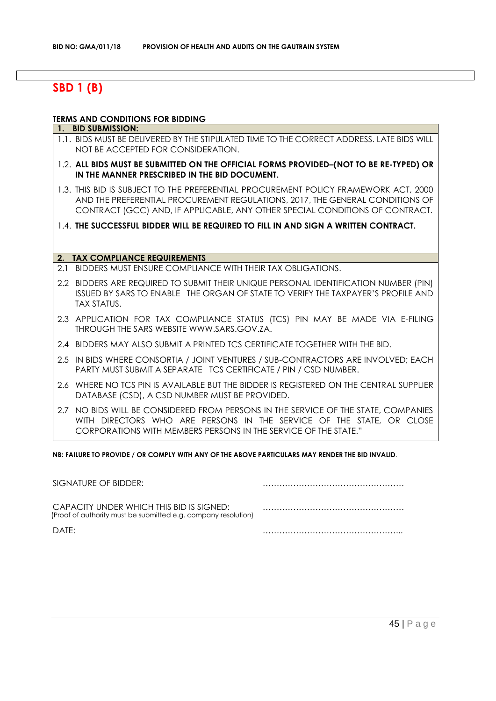# **SBD 1 (B)**

#### **TERMS AND CONDITIONS FOR BIDDING**

#### **1. BID SUBMISSION:**

- 1.1. BIDS MUST BE DELIVERED BY THE STIPULATED TIME TO THE CORRECT ADDRESS. LATE BIDS WILL NOT BE ACCEPTED FOR CONSIDERATION.
- 1.2. **ALL BIDS MUST BE SUBMITTED ON THE OFFICIAL FORMS PROVIDED–(NOT TO BE RE-TYPED) OR IN THE MANNER PRESCRIBED IN THE BID DOCUMENT.**
- 1.3. THIS BID IS SUBJECT TO THE PREFERENTIAL PROCUREMENT POLICY FRAMEWORK ACT, 2000 AND THE PREFERENTIAL PROCUREMENT REGULATIONS, 2017, THE GENERAL CONDITIONS OF CONTRACT (GCC) AND, IF APPLICABLE, ANY OTHER SPECIAL CONDITIONS OF CONTRACT.
- 1.4. **THE SUCCESSFUL BIDDER WILL BE REQUIRED TO FILL IN AND SIGN A WRITTEN CONTRACT.**

#### **2. TAX COMPLIANCE REQUIREMENTS**

- 2.1 BIDDERS MUST ENSURE COMPLIANCE WITH THEIR TAX OBLIGATIONS.
- 2.2 BIDDERS ARE REQUIRED TO SUBMIT THEIR UNIQUE PERSONAL IDENTIFICATION NUMBER (PIN) ISSUED BY SARS TO ENABLE THE ORGAN OF STATE TO VERIFY THE TAXPAYER'S PROFILE AND TAX STATUS.
- 2.3 APPLICATION FOR TAX COMPLIANCE STATUS (TCS) PIN MAY BE MADE VIA E-FILING THROUGH THE SARS WEBSITE [WWW.SARS.GOV.ZA.](http://www.sars.gov.za/)
- 2.4 BIDDERS MAY ALSO SUBMIT A PRINTED TCS CERTIFICATE TOGETHER WITH THE BID.
- 2.5 IN BIDS WHERE CONSORTIA / JOINT VENTURES / SUB-CONTRACTORS ARE INVOLVED; EACH PARTY MUST SUBMIT A SEPARATE TCS CERTIFICATE / PIN / CSD NUMBER.
- 2.6 WHERE NO TCS PIN IS AVAILABLE BUT THE BIDDER IS REGISTERED ON THE CENTRAL SUPPLIER DATABASE (CSD), A CSD NUMBER MUST BE PROVIDED.
- 2.7 NO BIDS WILL BE CONSIDERED FROM PERSONS IN THE SERVICE OF THE STATE, COMPANIES WITH DIRECTORS WHO ARE PERSONS IN THE SERVICE OF THE STATE, OR CLOSE CORPORATIONS WITH MEMBERS PERSONS IN THE SERVICE OF THE STATE."

**NB: FAILURE TO PROVIDE / OR COMPLY WITH ANY OF THE ABOVE PARTICULARS MAY RENDER THE BID INVALID**.

| SIGNATURE OF BIDDER:                                                                                       |  |
|------------------------------------------------------------------------------------------------------------|--|
| CAPACITY UNDER WHICH THIS BID IS SIGNED:<br>(Proof of authority must be submitted e.g. company resolution) |  |
| DATE:                                                                                                      |  |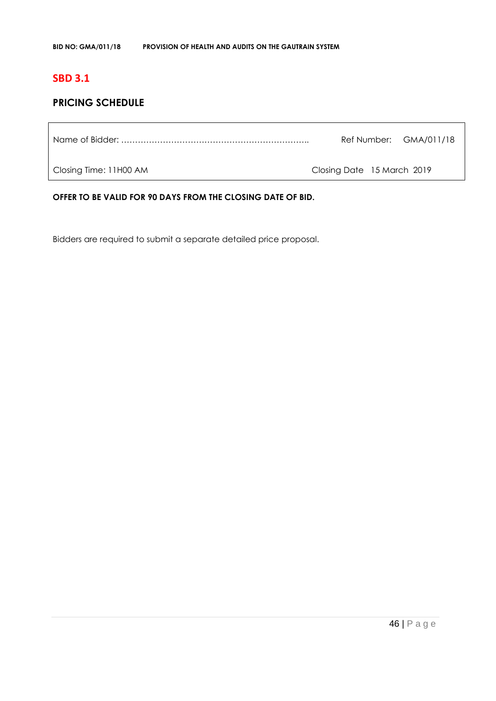# **SBD 3.1**

# **PRICING SCHEDULE**

Name of Bidder: ………………………………………………………….. Ref Number: GMA/011/18

Closing Time: 11H00 AM Closing Date 15 March 2019

**OFFER TO BE VALID FOR 90 DAYS FROM THE CLOSING DATE OF BID.**

Bidders are required to submit a separate detailed price proposal.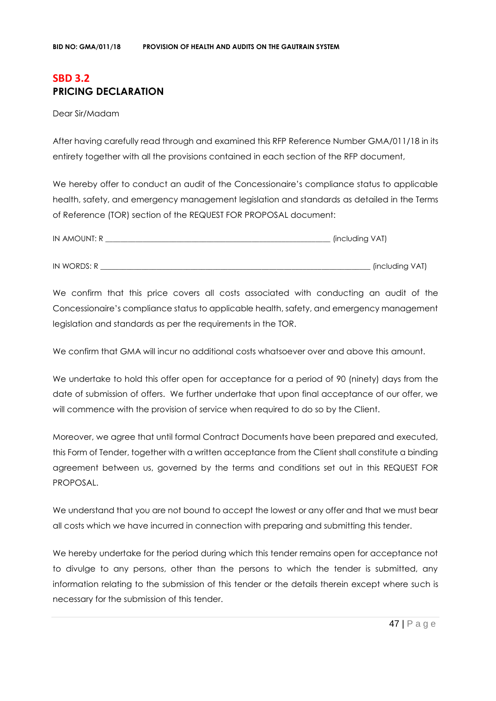# **SBD 3.2 PRICING DECLARATION**

Dear Sir/Madam

After having carefully read through and examined this RFP Reference Number GMA/011/18 in its entirety together with all the provisions contained in each section of the RFP document,

We hereby offer to conduct an audit of the Concessionaire's compliance status to applicable health, safety, and emergency management legislation and standards as detailed in the Terms of Reference (TOR) section of the REQUEST FOR PROPOSAL document:

| IN AMOUNT: R | (including VAT) |
|--------------|-----------------|
|              |                 |
| IN WORDS: R  | (including VAT) |

We confirm that this price covers all costs associated with conducting an audit of the Concessionaire's compliance status to applicable health, safety, and emergency management legislation and standards as per the requirements in the TOR.

We confirm that GMA will incur no additional costs whatsoever over and above this amount.

We undertake to hold this offer open for acceptance for a period of 90 (ninety) days from the date of submission of offers. We further undertake that upon final acceptance of our offer, we will commence with the provision of service when required to do so by the Client.

Moreover, we agree that until formal Contract Documents have been prepared and executed, this Form of Tender, together with a written acceptance from the Client shall constitute a binding agreement between us, governed by the terms and conditions set out in this REQUEST FOR PROPOSAL.

We understand that you are not bound to accept the lowest or any offer and that we must bear all costs which we have incurred in connection with preparing and submitting this tender.

We hereby undertake for the period during which this tender remains open for acceptance not to divulge to any persons, other than the persons to which the tender is submitted, any information relating to the submission of this tender or the details therein except where such is necessary for the submission of this tender.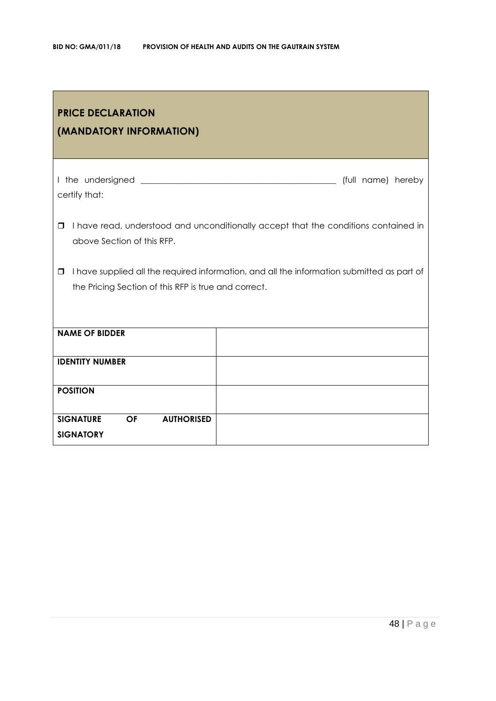| <b>PRICE DECLARATION</b><br>(MANDATORY INFORMATION)                    |                                                                                            |
|------------------------------------------------------------------------|--------------------------------------------------------------------------------------------|
| certify that:                                                          | (full name) hereby                                                                         |
| □<br>above Section of this RFP.                                        | I have read, understood and unconditionally accept that the conditions contained in        |
| $\Box$<br>the Pricing Section of this RFP is true and correct.         | I have supplied all the required information, and all the information submitted as part of |
| <b>NAME OF BIDDER</b>                                                  |                                                                                            |
| <b>IDENTITY NUMBER</b>                                                 |                                                                                            |
| <b>POSITION</b>                                                        |                                                                                            |
| <b>SIGNATURE</b><br><b>AUTHORISED</b><br><b>OF</b><br><b>SIGNATORY</b> |                                                                                            |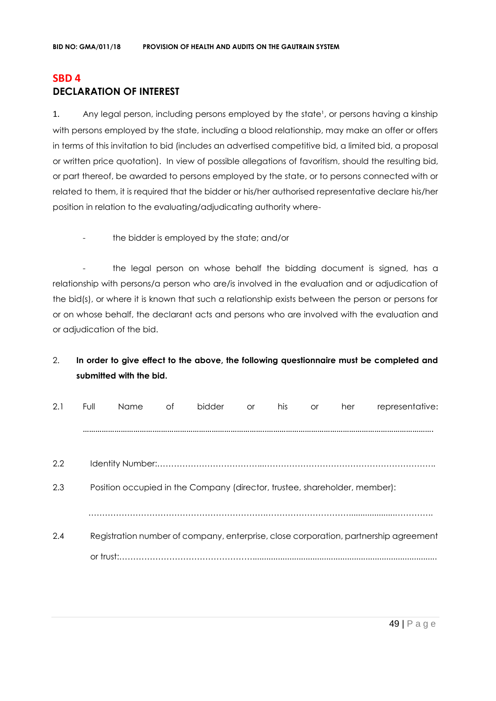# **SBD 4 DECLARATION OF INTEREST**

1. Any legal person, including persons employed by the state<sup>1</sup>, or persons having a kinship with persons employed by the state, including a blood relationship, may make an offer or offers in terms of this invitation to bid (includes an advertised competitive bid, a limited bid, a proposal or written price quotation). In view of possible allegations of favoritism, should the resulting bid, or part thereof, be awarded to persons employed by the state, or to persons connected with or related to them, it is required that the bidder or his/her authorised representative declare his/her position in relation to the evaluating/adjudicating authority where-

- the bidder is employed by the state; and/or

- the legal person on whose behalf the bidding document is signed, has a relationship with persons/a person who are/is involved in the evaluation and or adjudication of the bid(s), or where it is known that such a relationship exists between the person or persons for or on whose behalf, the declarant acts and persons who are involved with the evaluation and or adjudication of the bid.

# 2. **In order to give effect to the above, the following questionnaire must be completed and submitted with the bid.**

| 2.1 | Full      | Name | Ωf | bidder                                                                     | <b>or</b> | his | <b>or</b> | her | representative:                                                                      |
|-----|-----------|------|----|----------------------------------------------------------------------------|-----------|-----|-----------|-----|--------------------------------------------------------------------------------------|
|     |           |      |    |                                                                            |           |     |           |     |                                                                                      |
|     |           |      |    |                                                                            |           |     |           |     |                                                                                      |
| 2.2 |           |      |    |                                                                            |           |     |           |     |                                                                                      |
| 2.3 |           |      |    | Position occupied in the Company (director, trustee, shareholder, member): |           |     |           |     |                                                                                      |
|     |           |      |    |                                                                            |           |     |           |     |                                                                                      |
| 2.4 |           |      |    |                                                                            |           |     |           |     | Registration number of company, enterprise, close corporation, partnership agreement |
|     | or trust: |      |    |                                                                            |           |     |           |     |                                                                                      |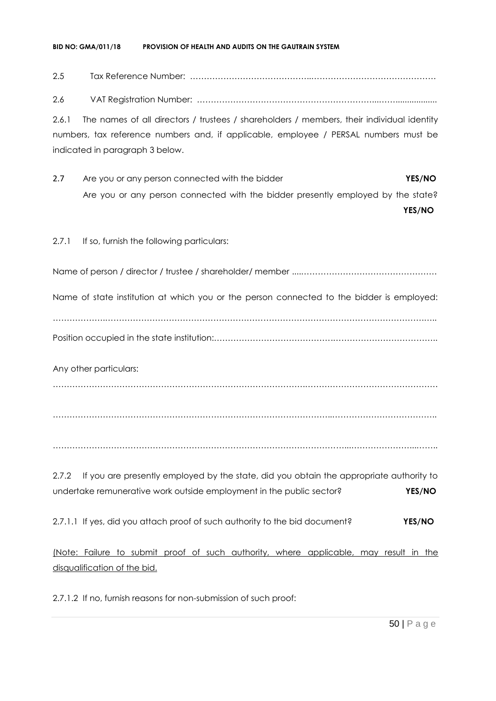#### **BID NO: GMA/011/18 PROVISION OF HEALTH AND AUDITS ON THE GAUTRAIN SYSTEM**

# 2.5 Tax Reference Number: ……………………………………..………………………………………

2.6 VAT Registration Number: ………………………………………………………...……..................

2.6.1 The names of all directors / trustees / shareholders / members, their individual identity numbers, tax reference numbers and, if applicable, employee / PERSAL numbers must be indicated in paragraph 3 below.

2.7 Are you or any person connected with the bidder **YES/NO** Are you or any person connected with the bidder presently employed by the state?

**YES/NO**

2.7.1 If so, furnish the following particulars:

Name of person / director / trustee / shareholder/ member ....………………………………………….

Name of state institution at which you or the person connected to the bidder is employed:

……………….…………………………………………………………………………………………………….….. Position occupied in the state institution:…………………………………….………………………………..

Any other particulars:

……………………………………………………………………………….…………………………………………

………………………………………………………………………………………..………………………………..

……………………………………………………………………………………………...…………………...……..

2.7.2 If you are presently employed by the state, did you obtain the appropriate authority to undertake remunerative work outside employment in the public sector? **YES/NO**

2.7.1.1 If yes, did you attach proof of such authority to the bid document? **YES/NO**

(Note: Failure to submit proof of such authority, where applicable, may result in the disqualification of the bid.

2.7.1.2 If no, furnish reasons for non-submission of such proof: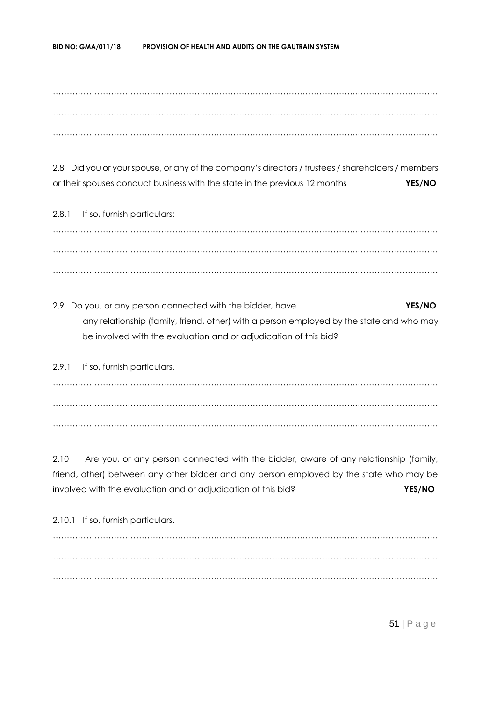……………………………………………………………………………………………….………………………… ……………………………………………………………………………………………….………………………… ……………………………………………………………………………………………….…………………………

2.8 Did you or your spouse, or any of the company's directors / trustees / shareholders / members or their spouses conduct business with the state in the previous 12 months **YES/NO**

2.8.1 If so, furnish particulars: ……………………………………………………………………………………………….………………………… ……………………………………………………………………………………………….………………………… ……………………………………………………………………………………………….…………………………

2.9 Do you, or any person connected with the bidder, have **YES/NO** any relationship (family, friend, other) with a person employed by the state and who may be involved with the evaluation and or adjudication of this bid?

2.9.1 If so, furnish particulars. ……………………………………………………………………………………………….………………………… ……………………………………………………………………………………………….………………………… ……………………………………………………………………………………………….…………………………

2.10 Are you, or any person connected with the bidder, aware of any relationship (family, friend, other) between any other bidder and any person employed by the state who may be involved with the evaluation and or adjudication of this bid? **YES/NO**

2.10.1 If so, furnish particulars**.** ……………………………………………………………………………………………….………………………… ……………………………………………………………………………………………….………………………… ……………………………………………………………………………………………….…………………………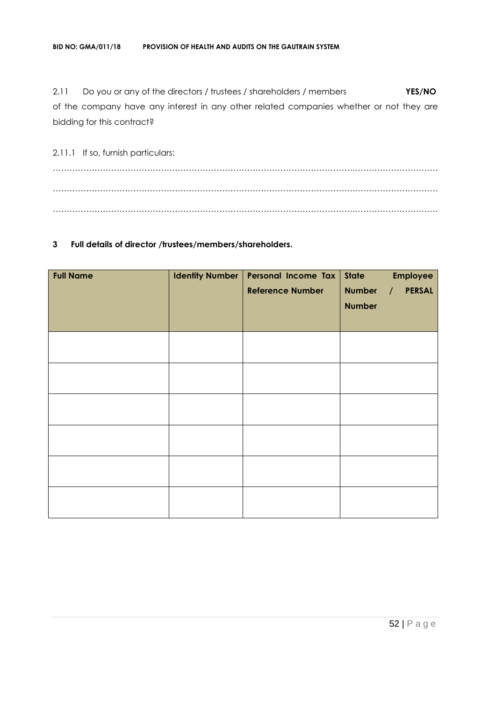2.11 Do you or any of the directors / trustees / shareholders / members **YES/NO** of the company have any interest in any other related companies whether or not they are bidding for this contract?

2.11.1 If so, furnish particulars: ……………………………………………………………………………………………….………………………… ……………………………………………………………………………………………….………………………… ……………………………………………………………………………………………….…………………………

## **3 Full details of director /trustees/members/shareholders.**

| <b>Full Name</b> | <b>Identity Number</b> | Personal Income Tax<br><b>Reference Number</b> | <b>State</b><br><b>Number</b><br><b>Number</b> | <b>Employee</b><br><b>PERSAL</b><br>$\sqrt{ }$ |
|------------------|------------------------|------------------------------------------------|------------------------------------------------|------------------------------------------------|
|                  |                        |                                                |                                                |                                                |
|                  |                        |                                                |                                                |                                                |
|                  |                        |                                                |                                                |                                                |
|                  |                        |                                                |                                                |                                                |
|                  |                        |                                                |                                                |                                                |
|                  |                        |                                                |                                                |                                                |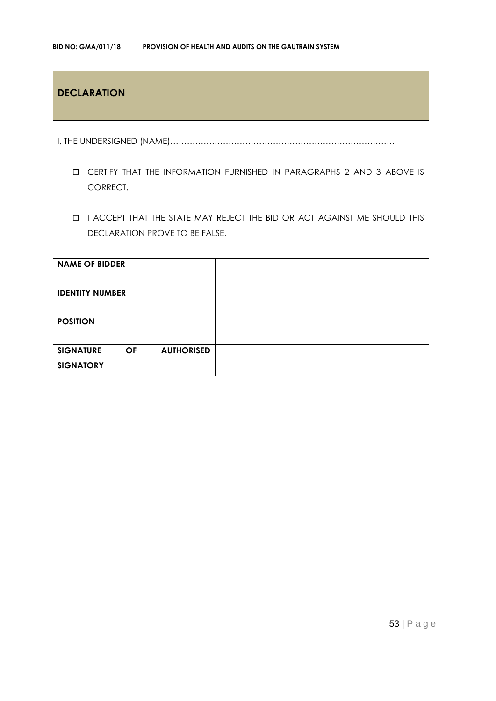| <b>DECLARATION</b>                                              |                                                                                |
|-----------------------------------------------------------------|--------------------------------------------------------------------------------|
|                                                                 |                                                                                |
| CORRECT.                                                        | <b>I CERTIFY THAT THE INFORMATION FURNISHED IN PARAGRAPHS 2 AND 3 ABOVE IS</b> |
| $\Box$<br>DECLARATION PROVE TO BE FALSE.                        | I ACCEPT THAT THE STATE MAY REJECT THE BID OR ACT AGAINST ME SHOULD THIS       |
| <b>NAME OF BIDDER</b>                                           |                                                                                |
| <b>IDENTITY NUMBER</b>                                          |                                                                                |
| <b>POSITION</b>                                                 |                                                                                |
| <b>SIGNATURE</b><br><b>AUTHORISED</b><br>OF<br><b>SIGNATORY</b> |                                                                                |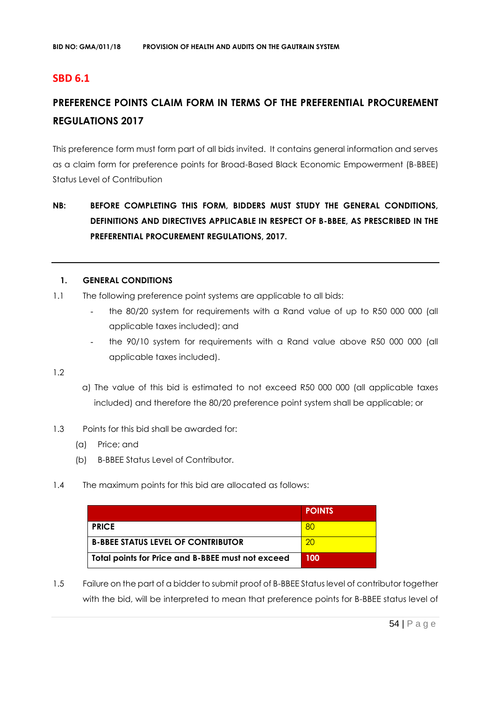# **SBD 6.1**

# **PREFERENCE POINTS CLAIM FORM IN TERMS OF THE PREFERENTIAL PROCUREMENT REGULATIONS 2017**

This preference form must form part of all bids invited. It contains general information and serves as a claim form for preference points for Broad-Based Black Economic Empowerment (B-BBEE) Status Level of Contribution

# **NB: BEFORE COMPLETING THIS FORM, BIDDERS MUST STUDY THE GENERAL CONDITIONS, DEFINITIONS AND DIRECTIVES APPLICABLE IN RESPECT OF B-BBEE, AS PRESCRIBED IN THE PREFERENTIAL PROCUREMENT REGULATIONS, 2017.**

#### **1. GENERAL CONDITIONS**

- 1.1 The following preference point systems are applicable to all bids:
	- the 80/20 system for requirements with a Rand value of up to R50 000 000 (all applicable taxes included); and
	- the 90/10 system for requirements with a Rand value above R50 000 000 (all applicable taxes included).

1.2

- a) The value of this bid is estimated to not exceed R50 000 000 (all applicable taxes included) and therefore the 80/20 preference point system shall be applicable; or
- 1.3 Points for this bid shall be awarded for:
	- (a) Price; and
	- (b) B-BBEE Status Level of Contributor.
- 1.4 The maximum points for this bid are allocated as follows:

|                                                   | <b>POINTS</b> |
|---------------------------------------------------|---------------|
| <b>PRICE</b>                                      | <b>80</b>     |
| <b>B-BBEE STATUS LEVEL OF CONTRIBUTOR</b>         | 20            |
| Total points for Price and B-BBEE must not exceed | 100           |

1.5 Failure on the part of a bidder to submit proof of B-BBEE Status level of contributor together with the bid, will be interpreted to mean that preference points for B-BBEE status level of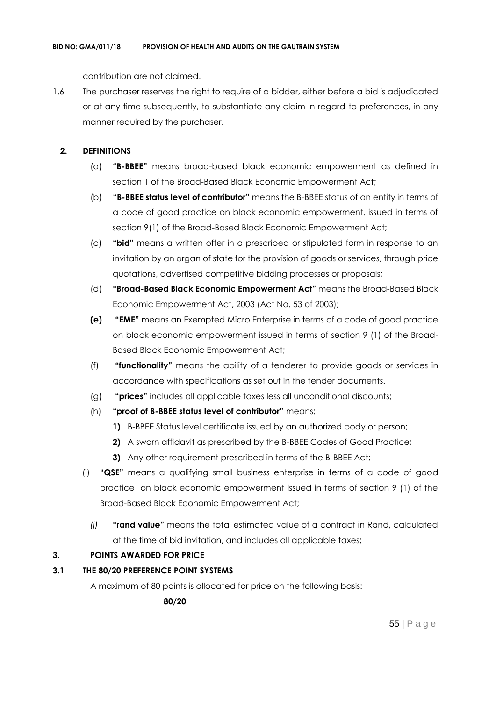contribution are not claimed.

1.6 The purchaser reserves the right to require of a bidder, either before a bid is adjudicated or at any time subsequently, to substantiate any claim in regard to preferences, in any manner required by the purchaser.

## **2. DEFINITIONS**

- (a) **"B-BBEE"** means broad-based black economic empowerment as defined in section 1 of the Broad-Based Black Economic Empowerment Act;
- (b) "**B-BBEE status level of contributor"** means the B-BBEE status of an entity in terms of a code of good practice on black economic empowerment, issued in terms of section 9(1) of the Broad-Based Black Economic Empowerment Act;
- (c) **"bid"** means a written offer in a prescribed or stipulated form in response to an invitation by an organ of state for the provision of goods or services, through price quotations, advertised competitive bidding processes or proposals;
- (d) **"Broad-Based Black Economic Empowerment Act"** means the Broad-Based Black Economic Empowerment Act, 2003 (Act No. 53 of 2003);
- **(e) "EME"** means an Exempted Micro Enterprise in terms of a code of good practice on black economic empowerment issued in terms of section 9 (1) of the Broad-Based Black Economic Empowerment Act;
- (f) **"functionality"** means the ability of a tenderer to provide goods or services in accordance with specifications as set out in the tender documents.
- (g) **"prices"** includes all applicable taxes less all unconditional discounts;
- (h) **"proof of B-BBEE status level of contributor"** means:
	- **1)** B-BBEE Status level certificate issued by an authorized body or person;
	- **2)** A sworn affidavit as prescribed by the B-BBEE Codes of Good Practice;
	- **3)** Any other requirement prescribed in terms of the B-BBEE Act;
- (i) **"QSE"** means a qualifying small business enterprise in terms of a code of good practice on black economic empowerment issued in terms of section 9 (1) of the Broad-Based Black Economic Empowerment Act;
	- *(j)* **"rand value"** means the total estimated value of a contract in Rand, calculated at the time of bid invitation, and includes all applicable taxes;

# **3. POINTS AWARDED FOR PRICE**

## **3.1 THE 80/20 PREFERENCE POINT SYSTEMS**

A maximum of 80 points is allocated for price on the following basis:

 **80/20**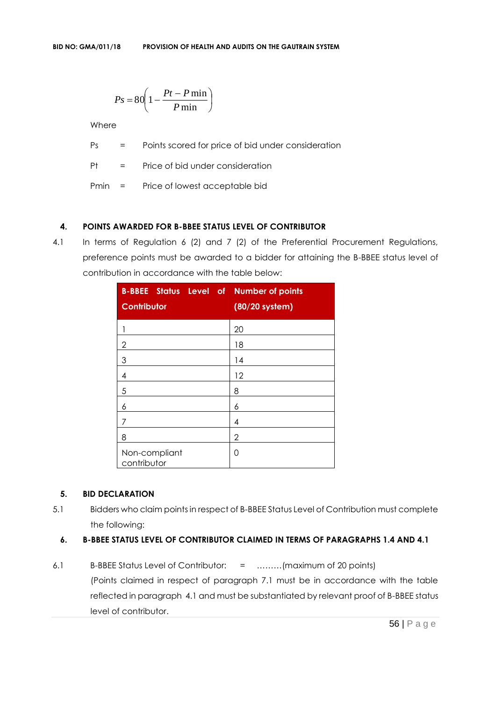$$
Ps = 80 \left( 1 - \frac{Pt - P \min}{P \min} \right)
$$

Where

Ps = Points scored for price of bid under consideration

Pt = Price of bid under consideration

Pmin = Price of lowest acceptable bid

## **4. POINTS AWARDED FOR B-BBEE STATUS LEVEL OF CONTRIBUTOR**

4.1 In terms of Regulation 6 (2) and 7 (2) of the Preferential Procurement Regulations, preference points must be awarded to a bidder for attaining the B-BBEE status level of contribution in accordance with the table below:

| <b>B-BBEE Status Level</b><br>$o$ f<br>Contributor | <b>Number of points</b><br>(80/20 system) |
|----------------------------------------------------|-------------------------------------------|
|                                                    | 20                                        |
| $\overline{2}$                                     | 18                                        |
| $\mathfrak{S}$                                     | 14                                        |
| 4                                                  | 12                                        |
| 5                                                  | 8                                         |
| 6                                                  | 6                                         |
| 7                                                  | 4                                         |
| 8                                                  | 2                                         |
| Non-compliant<br>contributor                       | 0                                         |

## **5. BID DECLARATION**

5.1 Bidders who claim points in respect of B-BBEE Status Level of Contribution must complete the following:

## **6. B-BBEE STATUS LEVEL OF CONTRIBUTOR CLAIMED IN TERMS OF PARAGRAPHS 1.4 AND 4.1**

6.1 B-BBEE Status Level of Contributor: = ………(maximum of 20 points) (Points claimed in respect of paragraph 7.1 must be in accordance with the table reflected in paragraph 4.1 and must be substantiated by relevant proof of B-BBEE status level of contributor.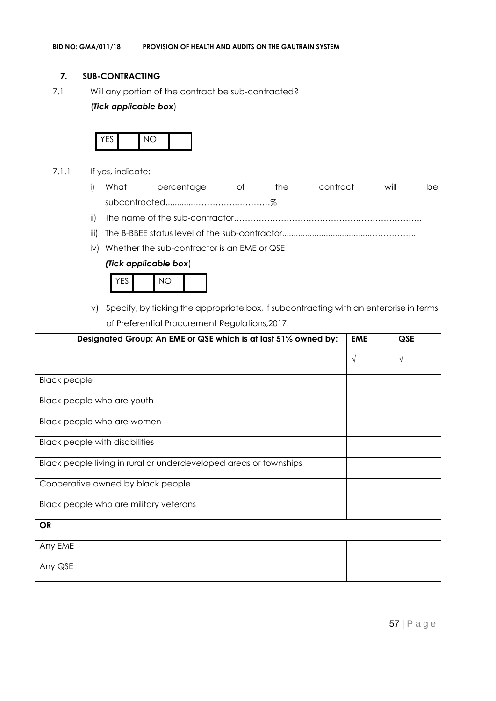## **7. SUB-CONTRACTING**

7.1 Will any portion of the contract be sub-contracted?

## (*Tick applicable box*)



- 7.1.1 If yes, indicate:
	- i) What percentage of the contract will be subcontracted............…………….…………%
	- ii) The name of the sub-contractor…………………………………………………………..
	- iii) The B-BBEE status level of the sub-contractor......................................……………..
	- iv) Whether the sub-contractor is an EME or QSE

#### *(Tick applicable box*)



v) Specify, by ticking the appropriate box, if subcontracting with an enterprise in terms of Preferential Procurement Regulations,2017:

| Designated Group: An EME or QSE which is at last 51% owned by:    | <b>EME</b> | QSE |
|-------------------------------------------------------------------|------------|-----|
|                                                                   | $\sqrt{ }$ | V   |
| <b>Black people</b>                                               |            |     |
| Black people who are youth                                        |            |     |
| Black people who are women                                        |            |     |
| <b>Black people with disabilities</b>                             |            |     |
| Black people living in rural or underdeveloped areas or townships |            |     |
| Cooperative owned by black people                                 |            |     |
| Black people who are military veterans                            |            |     |
| <b>OR</b>                                                         |            |     |
| Any EME                                                           |            |     |
| Any QSE                                                           |            |     |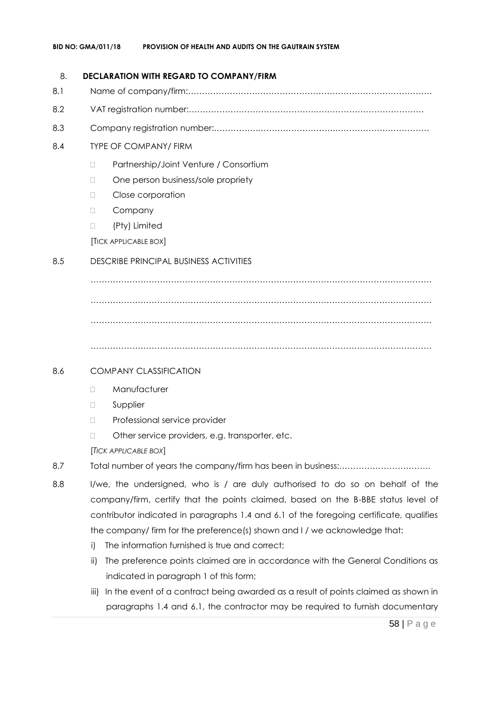## 8. **DECLARATION WITH REGARD TO COMPANY/FIRM**

- 8.1 Name of company/firm:…………………………………………………………………………….
- 8.2 VAT registration number:……………………………………….…………………………………
- 8.3 Company registration number:…………….……………………….…………………………….

## 8.4 TYPE OF COMPANY/ FIRM

- □ Partnership/Joint Venture / Consortium
- □ One person business/sole propriety
- D Close corporation
- D Company
- (Pty) Limited

[TICK APPLICABLE BOX]

# 8.5 DESCRIBE PRINCIPAL BUSINESS ACTIVITIES

…………………………………………………………………………………………………………… …………………………………………………………………………………………………………… ……………………………………………………………………………………………………………

……………………………………………………………………………………………………………

## 8.6 COMPANY CLASSIFICATION

- D Manufacturer
- **D** Supplier
- D Professional service provider
- □ Other service providers, e.g. transporter, etc.

[*TICK APPLICABLE BOX*]

- 8.7 Total number of years the company/firm has been in business:……………………………
- 8.8 I/we, the undersigned, who is / are duly authorised to do so on behalf of the company/firm, certify that the points claimed, based on the B-BBE status level of contributor indicated in paragraphs 1.4 and 6.1 of the foregoing certificate, qualifies the company/ firm for the preference(s) shown and I / we acknowledge that:
	- i) The information furnished is true and correct;
	- ii) The preference points claimed are in accordance with the General Conditions as indicated in paragraph 1 of this form;
	- iii) In the event of a contract being awarded as a result of points claimed as shown in paragraphs 1.4 and 6.1, the contractor may be required to furnish documentary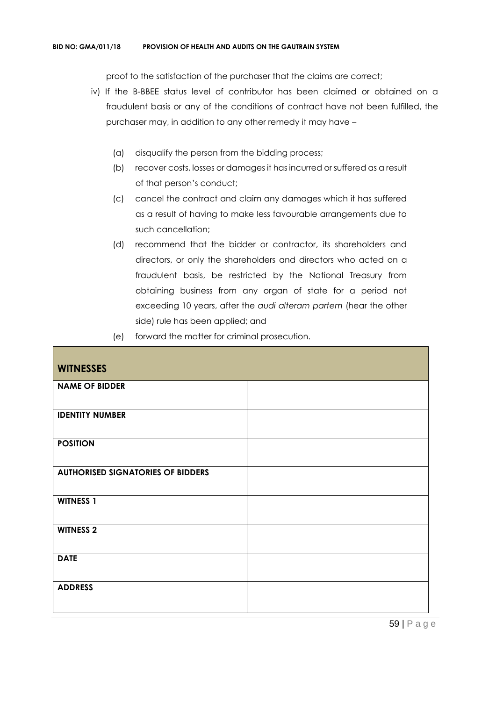proof to the satisfaction of the purchaser that the claims are correct;

- iv) If the B-BBEE status level of contributor has been claimed or obtained on a fraudulent basis or any of the conditions of contract have not been fulfilled, the purchaser may, in addition to any other remedy it may have –
	- (a) disqualify the person from the bidding process;
	- (b) recover costs, losses or damages it has incurred or suffered as a result of that person's conduct;
	- (c) cancel the contract and claim any damages which it has suffered as a result of having to make less favourable arrangements due to such cancellation;
	- (d) recommend that the bidder or contractor, its shareholders and directors, or only the shareholders and directors who acted on a fraudulent basis, be restricted by the National Treasury from obtaining business from any organ of state for a period not exceeding 10 years, after the *audi alteram partem* (hear the other side) rule has been applied; and
	- (e) forward the matter for criminal prosecution.

| <b>WITNESSES</b>                         |  |
|------------------------------------------|--|
| <b>NAME OF BIDDER</b>                    |  |
| <b>IDENTITY NUMBER</b>                   |  |
| <b>POSITION</b>                          |  |
| <b>AUTHORISED SIGNATORIES OF BIDDERS</b> |  |
| <b>WITNESS 1</b>                         |  |
| <b>WITNESS 2</b>                         |  |
| <b>DATE</b>                              |  |
| <b>ADDRESS</b>                           |  |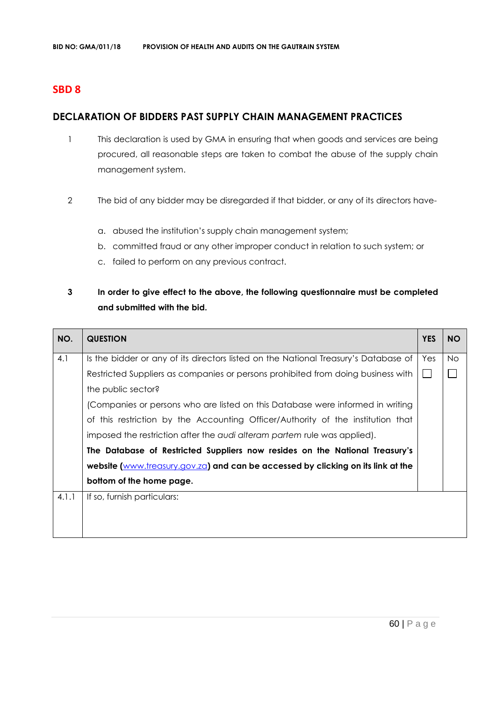# **SBD 8**

# **DECLARATION OF BIDDERS PAST SUPPLY CHAIN MANAGEMENT PRACTICES**

- 1 This declaration is used by GMA in ensuring that when goods and services are being procured, all reasonable steps are taken to combat the abuse of the supply chain management system.
- 2 The bid of any bidder may be disregarded if that bidder, or any of its directors have
	- a. abused the institution's supply chain management system;
	- b. committed fraud or any other improper conduct in relation to such system; or
	- c. failed to perform on any previous contract.

# **3 In order to give effect to the above, the following questionnaire must be completed and submitted with the bid.**

| NO.   | <b>QUESTION</b>                                                                     | <b>YES</b> | <b>NO</b> |
|-------|-------------------------------------------------------------------------------------|------------|-----------|
| 4.1   | Is the bidder or any of its directors listed on the National Treasury's Database of | Yes        | <b>No</b> |
|       | Restricted Suppliers as companies or persons prohibited from doing business with    |            |           |
|       | the public sector?                                                                  |            |           |
|       | (Companies or persons who are listed on this Database were informed in writing      |            |           |
|       | of this restriction by the Accounting Officer/Authority of the institution that     |            |           |
|       | imposed the restriction after the audi alteram partem rule was applied).            |            |           |
|       | The Database of Restricted Suppliers now resides on the National Treasury's         |            |           |
|       | website (www.treasury.gov.za) and can be accessed by clicking on its link at the    |            |           |
|       | bottom of the home page.                                                            |            |           |
| 4.1.1 | If so, furnish particulars:                                                         |            |           |
|       |                                                                                     |            |           |
|       |                                                                                     |            |           |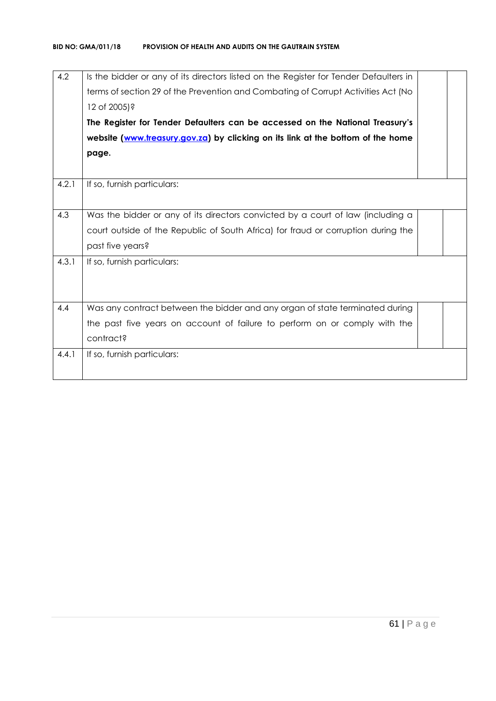| 4.2   | Is the bidder or any of its directors listed on the Register for Tender Defaulters in<br>terms of section 29 of the Prevention and Combating of Corrupt Activities Act (No<br>12 of 2005)?<br>The Register for Tender Defaulters can be accessed on the National Treasury's<br>website (www.treasury.gov.za) by clicking on its link at the bottom of the home<br>page. |  |
|-------|-------------------------------------------------------------------------------------------------------------------------------------------------------------------------------------------------------------------------------------------------------------------------------------------------------------------------------------------------------------------------|--|
| 4.2.1 | If so, furnish particulars:                                                                                                                                                                                                                                                                                                                                             |  |
| 4.3   | Was the bidder or any of its directors convicted by a court of law (including a                                                                                                                                                                                                                                                                                         |  |
|       | court outside of the Republic of South Africa) for fraud or corruption during the                                                                                                                                                                                                                                                                                       |  |
|       | past five years?                                                                                                                                                                                                                                                                                                                                                        |  |
| 4.3.1 | If so, furnish particulars:                                                                                                                                                                                                                                                                                                                                             |  |
| 4.4   | Was any contract between the bidder and any organ of state terminated during                                                                                                                                                                                                                                                                                            |  |
|       | the past five years on account of failure to perform on or comply with the                                                                                                                                                                                                                                                                                              |  |
|       | contract?                                                                                                                                                                                                                                                                                                                                                               |  |
| 4.4.1 | If so, furnish particulars:                                                                                                                                                                                                                                                                                                                                             |  |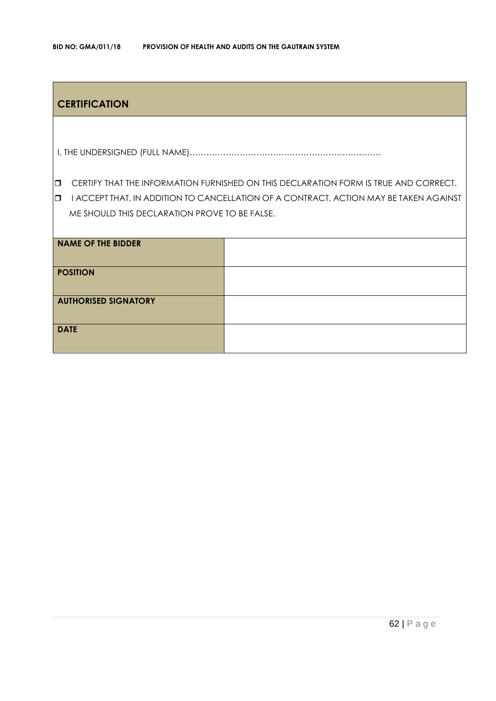# **CERTIFICATION**

I, THE UNDERSIGNED (FULL NAME)……………………………………………………………

**CERTIFY THAT THE INFORMATION FURNISHED ON THIS DECLARATION FORM IS TRUE AND CORRECT.** 

**I I ACCEPT THAT, IN ADDITION TO CANCELLATION OF A CONTRACT, ACTION MAY BE TAKEN AGAINST** ME SHOULD THIS DECLARATION PROVE TO BE FALSE.

| <b>NAME OF THE BIDDER</b>   |  |
|-----------------------------|--|
| <b>POSITION</b>             |  |
| <b>AUTHORISED SIGNATORY</b> |  |
| <b>DATE</b>                 |  |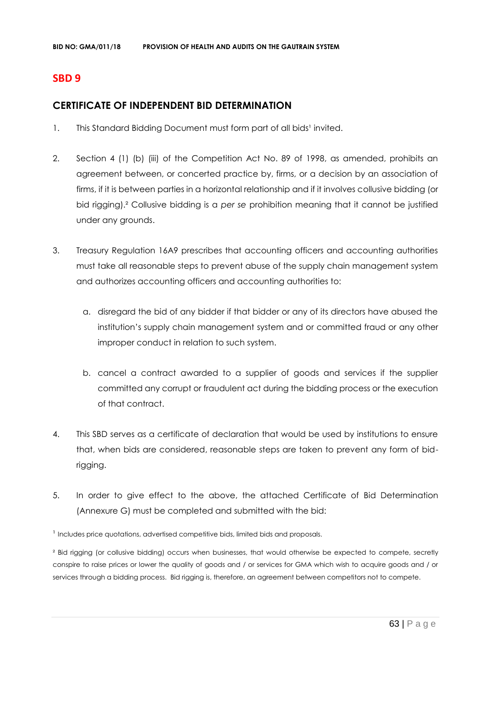# **SBD 9**

# **CERTIFICATE OF INDEPENDENT BID DETERMINATION**

- 1. This Standard Bidding Document must form part of all bids<sup>1</sup> invited.
- 2. Section 4 (1) (b) (iii) of the Competition Act No. 89 of 1998, as amended, prohibits an agreement between, or concerted practice by, firms, or a decision by an association of firms, if it is between parties in a horizontal relationship and if it involves collusive bidding (or bid rigging).² Collusive bidding is a *per se* prohibition meaning that it cannot be justified under any grounds.
- 3. Treasury Regulation 16A9 prescribes that accounting officers and accounting authorities must take all reasonable steps to prevent abuse of the supply chain management system and authorizes accounting officers and accounting authorities to:
	- a. disregard the bid of any bidder if that bidder or any of its directors have abused the institution's supply chain management system and or committed fraud or any other improper conduct in relation to such system.
	- b. cancel a contract awarded to a supplier of goods and services if the supplier committed any corrupt or fraudulent act during the bidding process or the execution of that contract.
- 4. This SBD serves as a certificate of declaration that would be used by institutions to ensure that, when bids are considered, reasonable steps are taken to prevent any form of bidrigging.
- 5. In order to give effect to the above, the attached Certificate of Bid Determination (Annexure G) must be completed and submitted with the bid:

<sup>1</sup> Includes price quotations, advertised competitive bids, limited bids and proposals.

<sup>2</sup> Bid rigging (or collusive bidding) occurs when businesses, that would otherwise be expected to compete, secretly conspire to raise prices or lower the quality of goods and / or services for GMA which wish to acquire goods and / or services through a bidding process. Bid rigging is, therefore, an agreement between competitors not to compete.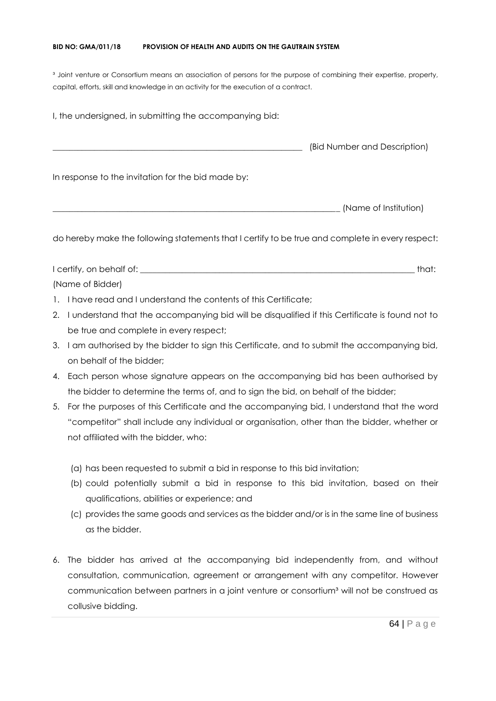#### **BID NO: GMA/011/18 PROVISION OF HEALTH AND AUDITS ON THE GAUTRAIN SYSTEM**

<sup>3</sup> Joint venture or Consortium means an association of persons for the purpose of combining their expertise, property, capital, efforts, skill and knowledge in an activity for the execution of a contract.

I, the undersigned, in submitting the accompanying bid: \_\_\_\_\_\_\_\_\_\_\_\_\_\_\_\_\_\_\_\_\_\_\_\_\_\_\_\_\_\_\_\_\_\_\_\_\_\_\_\_\_\_\_\_\_\_\_\_\_\_\_\_\_\_\_\_\_\_\_\_ (Bid Number and Description) In response to the invitation for the bid made by: \_\_\_\_\_\_\_\_\_\_\_\_\_\_\_\_\_\_\_\_\_\_\_\_\_\_\_\_\_\_\_\_\_\_\_\_\_\_\_\_\_\_\_\_\_\_\_\_\_\_\_\_\_\_\_\_\_\_\_\_\_\_\_\_\_\_\_\_\_ (Name of Institution)

do hereby make the following statements that I certify to be true and complete in every respect:

I certify, on behalf of: the state of the state of the state of the state of the state of the state of the state of the state of the state of the state of the state of the state of the state of the state of the state of th (Name of Bidder)

- 1. I have read and I understand the contents of this Certificate;
- 2. I understand that the accompanying bid will be disqualified if this Certificate is found not to be true and complete in every respect;
- 3. I am authorised by the bidder to sign this Certificate, and to submit the accompanying bid, on behalf of the bidder;
- 4. Each person whose signature appears on the accompanying bid has been authorised by the bidder to determine the terms of, and to sign the bid, on behalf of the bidder;
- 5. For the purposes of this Certificate and the accompanying bid, I understand that the word "competitor" shall include any individual or organisation, other than the bidder, whether or not affiliated with the bidder, who:
	- (a) has been requested to submit a bid in response to this bid invitation;
	- (b) could potentially submit a bid in response to this bid invitation, based on their qualifications, abilities or experience; and
	- (c) provides the same goods and services as the bidder and/or is in the same line of business as the bidder.
- 6. The bidder has arrived at the accompanying bid independently from, and without consultation, communication, agreement or arrangement with any competitor. However communication between partners in a joint venture or consortium<sup>3</sup> will not be construed as collusive bidding.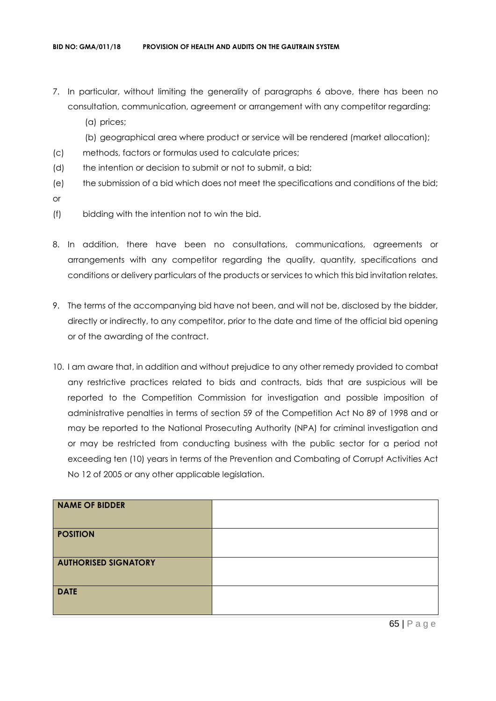- 7. In particular, without limiting the generality of paragraphs 6 above, there has been no consultation, communication, agreement or arrangement with any competitor regarding:
	- (a) prices;
	- (b) geographical area where product or service will be rendered (market allocation);
- (c) methods, factors or formulas used to calculate prices;
- (d) the intention or decision to submit or not to submit, a bid;
- (e) the submission of a bid which does not meet the specifications and conditions of the bid; or
- (f) bidding with the intention not to win the bid.
- 8. In addition, there have been no consultations, communications, agreements or arrangements with any competitor regarding the quality, quantity, specifications and conditions or delivery particulars of the products or services to which this bid invitation relates.
- 9. The terms of the accompanying bid have not been, and will not be, disclosed by the bidder, directly or indirectly, to any competitor, prior to the date and time of the official bid opening or of the awarding of the contract.
- 10. I am aware that, in addition and without prejudice to any other remedy provided to combat any restrictive practices related to bids and contracts, bids that are suspicious will be reported to the Competition Commission for investigation and possible imposition of administrative penalties in terms of section 59 of the Competition Act No 89 of 1998 and or may be reported to the National Prosecuting Authority (NPA) for criminal investigation and or may be restricted from conducting business with the public sector for a period not exceeding ten (10) years in terms of the Prevention and Combating of Corrupt Activities Act No 12 of 2005 or any other applicable legislation.

| <b>NAME OF BIDDER</b>       |  |
|-----------------------------|--|
| <b>POSITION</b>             |  |
| <b>AUTHORISED SIGNATORY</b> |  |
| <b>DATE</b>                 |  |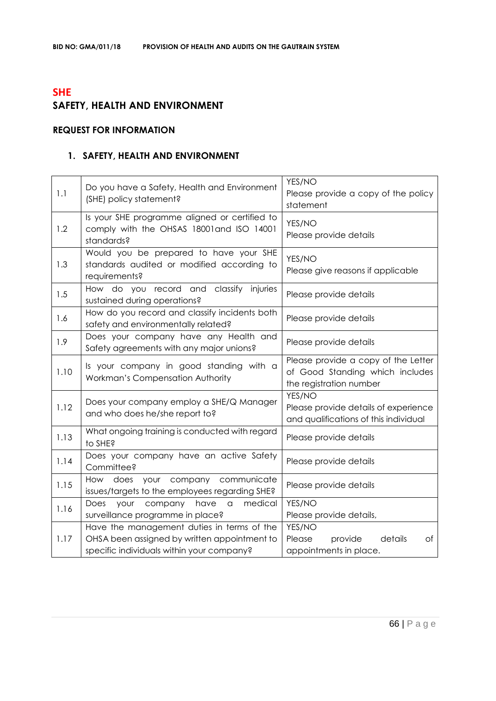# **SHE SAFETY, HEALTH AND ENVIRONMENT**

# **REQUEST FOR INFORMATION**

# **1. SAFETY, HEALTH AND ENVIRONMENT**

| 1.1  | Do you have a Safety, Health and Environment<br>(SHE) policy statement?                                                                 | YES/NO<br>Please provide a copy of the policy<br>statement                                        |
|------|-----------------------------------------------------------------------------------------------------------------------------------------|---------------------------------------------------------------------------------------------------|
| 1.2  | Is your SHE programme aligned or certified to<br>comply with the OHSAS 18001and ISO 14001<br>standards?                                 | YES/NO<br>Please provide details                                                                  |
| 1.3  | Would you be prepared to have your SHE<br>standards audited or modified according to<br>requirements?                                   | YES/NO<br>Please give reasons if applicable                                                       |
| 1.5  | How do you record and classify injuries<br>sustained during operations?                                                                 | Please provide details                                                                            |
| 1.6  | How do you record and classify incidents both<br>safety and environmentally related?                                                    | Please provide details                                                                            |
| 1.9  | Does your company have any Health and<br>Safety agreements with any major unions?                                                       | Please provide details                                                                            |
| 1.10 | Is your company in good standing with a<br>Workman's Compensation Authority                                                             | Please provide a copy of the Letter<br>of Good Standing which includes<br>the registration number |
| 1.12 | Does your company employ a SHE/Q Manager<br>and who does he/she report to?                                                              | YES/NO<br>Please provide details of experience<br>and qualifications of this individual           |
| 1.13 | What ongoing training is conducted with regard<br>to SHE?                                                                               | Please provide details                                                                            |
| 1.14 | Does your company have an active Safety<br>Committee?                                                                                   | Please provide details                                                                            |
| 1.15 | How does your company communicate<br>issues/targets to the employees regarding SHE?                                                     | Please provide details                                                                            |
| 1.16 | medical<br>Does<br>company<br>have<br>your<br>a<br>surveillance programme in place?                                                     | YES/NO<br>Please provide details,                                                                 |
| 1.17 | Have the management duties in terms of the<br>OHSA been assigned by written appointment to<br>specific individuals within your company? | YES/NO<br>details<br>Please<br>provide<br>Оf<br>appointments in place.                            |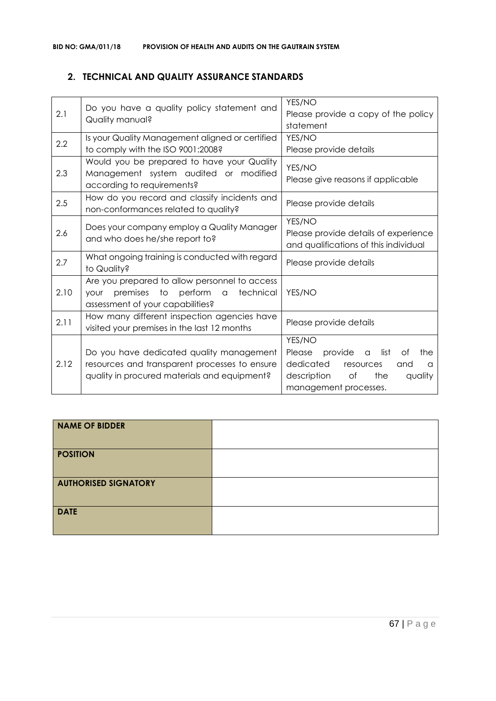# **2. TECHNICAL AND QUALITY ASSURANCE STANDARDS**

| 2.1  | Do you have a quality policy statement and<br>Quality manual?                                                                             | YES/NO<br>Please provide a copy of the policy<br>statement                                                                                                  |
|------|-------------------------------------------------------------------------------------------------------------------------------------------|-------------------------------------------------------------------------------------------------------------------------------------------------------------|
| 2.2  | Is your Quality Management aligned or certified<br>to comply with the ISO 9001:2008?                                                      | YES/NO<br>Please provide details                                                                                                                            |
| 2.3  | Would you be prepared to have your Quality<br>Management system audited or modified<br>according to requirements?                         | YES/NO<br>Please give reasons if applicable                                                                                                                 |
| 2.5  | How do you record and classify incidents and<br>non-conformances related to quality?                                                      | Please provide details                                                                                                                                      |
| 2.6  | Does your company employ a Quality Manager<br>and who does he/she report to?                                                              | YES/NO<br>Please provide details of experience<br>and qualifications of this individual                                                                     |
| 2.7  | What ongoing training is conducted with regard<br>to Quality?                                                                             | Please provide details                                                                                                                                      |
| 2.10 | Are you prepared to allow personnel to access<br>premises to perform a<br>technical<br>your<br>assessment of your capabilities?           | YES/NO                                                                                                                                                      |
| 2.11 | How many different inspection agencies have<br>visited your premises in the last 12 months                                                | Please provide details                                                                                                                                      |
| 2.12 | Do you have dedicated quality management<br>resources and transparent processes to ensure<br>quality in procured materials and equipment? | YES/NO<br>provide<br>list<br>Please<br>Оf<br>the<br>a<br>dedicated<br>resources<br>and<br>a<br>description<br>of<br>the<br>quality<br>management processes. |

| NAME OF BIDDER              |  |
|-----------------------------|--|
| <b>POSITION</b>             |  |
| <b>AUTHORISED SIGNATORY</b> |  |
| <b>DATE</b>                 |  |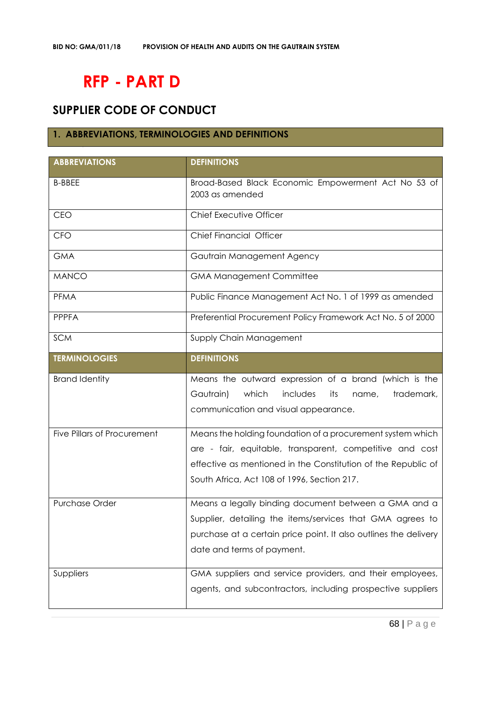# **RFP - PART D**

# **SUPPLIER CODE OF CONDUCT**

# **1. ABBREVIATIONS, TERMINOLOGIES AND DEFINITIONS**

| <b>ABBREVIATIONS</b>               | <b>DEFINITIONS</b>                                                                                                                                                                                                                     |
|------------------------------------|----------------------------------------------------------------------------------------------------------------------------------------------------------------------------------------------------------------------------------------|
| <b>B-BBEE</b>                      | Broad-Based Black Economic Empowerment Act No 53 of<br>2003 as amended                                                                                                                                                                 |
| CEO                                | Chief Executive Officer                                                                                                                                                                                                                |
| <b>CFO</b>                         | <b>Chief Financial Officer</b>                                                                                                                                                                                                         |
| <b>GMA</b>                         | Gautrain Management Agency                                                                                                                                                                                                             |
| <b>MANCO</b>                       | <b>GMA Management Committee</b>                                                                                                                                                                                                        |
| <b>PFMA</b>                        | Public Finance Management Act No. 1 of 1999 as amended                                                                                                                                                                                 |
| <b>PPPFA</b>                       | Preferential Procurement Policy Framework Act No. 5 of 2000                                                                                                                                                                            |
| <b>SCM</b>                         | Supply Chain Management                                                                                                                                                                                                                |
| <b>TERMINOLOGIES</b>               | <b>DEFINITIONS</b>                                                                                                                                                                                                                     |
| <b>Brand Identity</b>              | Means the outward expression of a brand (which is the<br>Gautrain)<br>which<br>includes<br>trademark,<br>its<br>name,<br>communication and visual appearance.                                                                          |
| <b>Five Pillars of Procurement</b> | Means the holding foundation of a procurement system which<br>are - fair, equitable, transparent, competitive and cost<br>effective as mentioned in the Constitution of the Republic of<br>South Africa, Act 108 of 1996, Section 217. |
| <b>Purchase Order</b>              | Means a legally binding document between a GMA and a<br>Supplier, detailing the items/services that GMA agrees to<br>purchase at a certain price point. It also outlines the delivery<br>date and terms of payment.                    |
| Suppliers                          | GMA suppliers and service providers, and their employees,<br>agents, and subcontractors, including prospective suppliers                                                                                                               |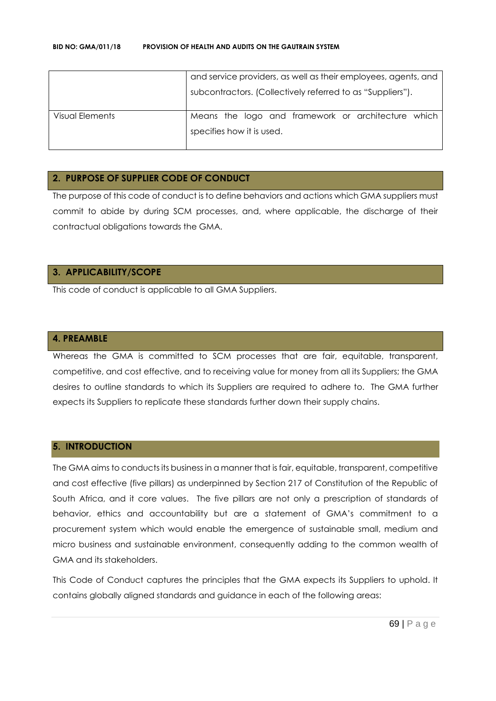|                 | and service providers, as well as their employees, agents, and |
|-----------------|----------------------------------------------------------------|
|                 | subcontractors. (Collectively referred to as "Suppliers").     |
| Visual Elements | Means the logo and framework or architecture which             |
|                 | specifies how it is used.                                      |
|                 |                                                                |

## **2. PURPOSE OF SUPPLIER CODE OF CONDUCT**

The purpose of this code of conduct is to define behaviors and actions which GMA suppliers must commit to abide by during SCM processes, and, where applicable, the discharge of their contractual obligations towards the GMA.

## **3. APPLICABILITY/SCOPE**

This code of conduct is applicable to all GMA Suppliers.

#### **4. PREAMBLE**

Whereas the GMA is committed to SCM processes that are fair, equitable, transparent, competitive, and cost effective, and to receiving value for money from all its Suppliers; the GMA desires to outline standards to which its Suppliers are required to adhere to. The GMA further expects its Suppliers to replicate these standards further down their supply chains.

#### **5. INTRODUCTION**

The GMA aims to conducts its business in a manner that is fair, equitable, transparent, competitive and cost effective (five pillars) as underpinned by Section 217 of Constitution of the Republic of South Africa, and it core values. The five pillars are not only a prescription of standards of behavior, ethics and accountability but are a statement of GMA's commitment to a procurement system which would enable the emergence of sustainable small, medium and micro business and sustainable environment, consequently adding to the common wealth of GMA and its stakeholders.

This Code of Conduct captures the principles that the GMA expects its Suppliers to uphold. It contains globally aligned standards and guidance in each of the following areas: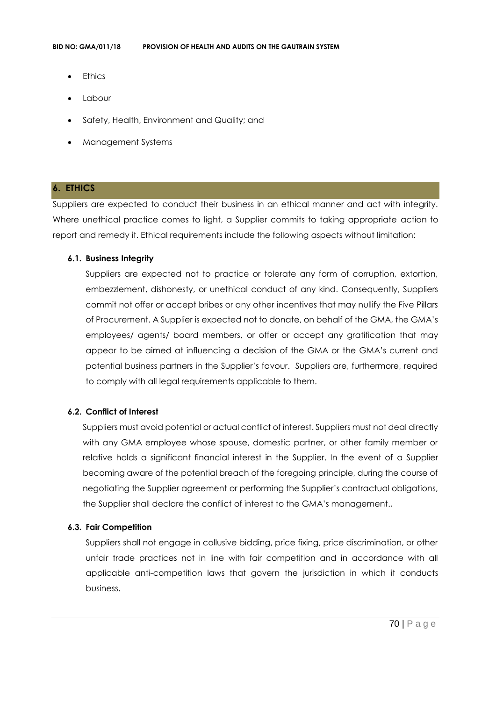- **Ethics**
- **Labour**
- Safety, Health, Environment and Quality; and
- Management Systems

## **6. ETHICS**

Suppliers are expected to conduct their business in an ethical manner and act with integrity. Where unethical practice comes to light, a Supplier commits to taking appropriate action to report and remedy it. Ethical requirements include the following aspects without limitation:

#### **6.1. Business Integrity**

Suppliers are expected not to practice or tolerate any form of corruption, extortion, embezzlement, dishonesty, or unethical conduct of any kind. Consequently, Suppliers commit not offer or accept bribes or any other incentives that may nullify the Five Pillars of Procurement. A Supplier is expected not to donate, on behalf of the GMA, the GMA's employees/ agents/ board members, or offer or accept any gratification that may appear to be aimed at influencing a decision of the GMA or the GMA's current and potential business partners in the Supplier's favour. Suppliers are, furthermore, required to comply with all legal requirements applicable to them.

## **6.2. Conflict of Interest**

Suppliers must avoid potential or actual conflict of interest. Suppliers must not deal directly with any GMA employee whose spouse, domestic partner, or other family member or relative holds a significant financial interest in the Supplier. In the event of a Supplier becoming aware of the potential breach of the foregoing principle, during the course of negotiating the Supplier agreement or performing the Supplier's contractual obligations, the Supplier shall declare the conflict of interest to the GMA's management.,

## **6.3. Fair Competition**

Suppliers shall not engage in collusive bidding, price fixing, price discrimination, or other unfair trade practices not in line with fair competition and in accordance with all applicable anti-competition laws that govern the jurisdiction in which it conducts business.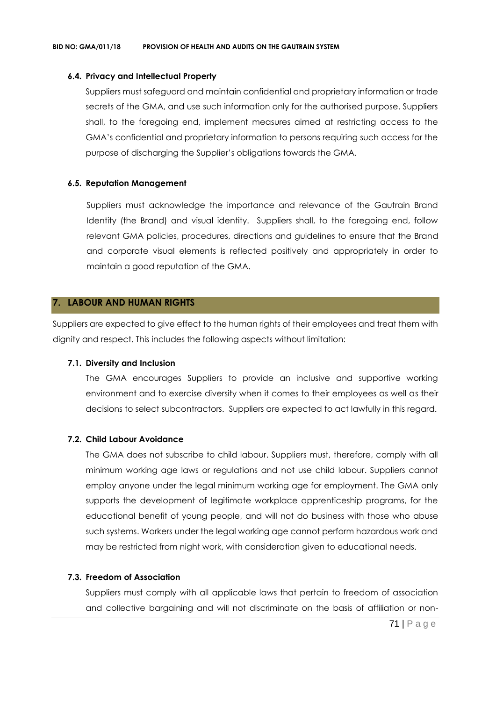#### **6.4. Privacy and Intellectual Property**

Suppliers must safeguard and maintain confidential and proprietary information or trade secrets of the GMA, and use such information only for the authorised purpose. Suppliers shall, to the foregoing end, implement measures aimed at restricting access to the GMA's confidential and proprietary information to persons requiring such access for the purpose of discharging the Supplier's obligations towards the GMA.

## **6.5. Reputation Management**

Suppliers must acknowledge the importance and relevance of the Gautrain Brand Identity (the Brand) and visual identity. Suppliers shall, to the foregoing end, follow relevant GMA policies, procedures, directions and guidelines to ensure that the Brand and corporate visual elements is reflected positively and appropriately in order to maintain a good reputation of the GMA.

## **7. LABOUR AND HUMAN RIGHTS**

Suppliers are expected to give effect to the human rights of their employees and treat them with dignity and respect. This includes the following aspects without limitation:

#### **7.1. Diversity and Inclusion**

The GMA encourages Suppliers to provide an inclusive and supportive working environment and to exercise diversity when it comes to their employees as well as their decisions to select subcontractors. Suppliers are expected to act lawfully in this regard.

## **7.2. Child Labour Avoidance**

The GMA does not subscribe to child labour. Suppliers must, therefore, comply with all minimum working age laws or regulations and not use child labour. Suppliers cannot employ anyone under the legal minimum working age for employment. The GMA only supports the development of legitimate workplace apprenticeship programs, for the educational benefit of young people, and will not do business with those who abuse such systems. Workers under the legal working age cannot perform hazardous work and may be restricted from night work, with consideration given to educational needs.

#### **7.3. Freedom of Association**

Suppliers must comply with all applicable laws that pertain to freedom of association and collective bargaining and will not discriminate on the basis of affiliation or non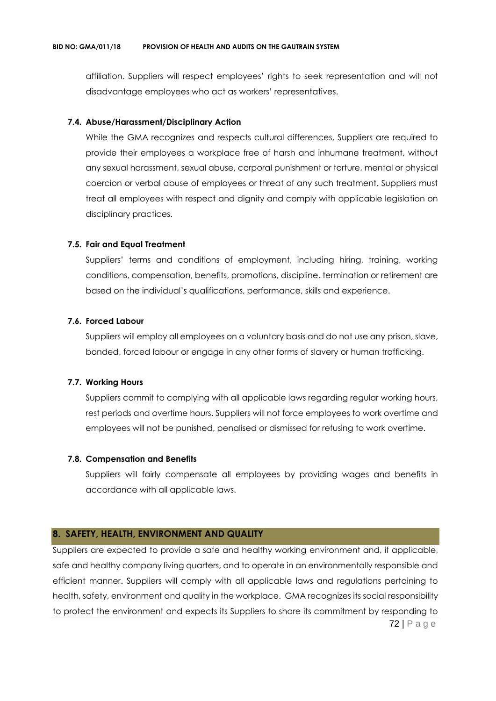affiliation. Suppliers will respect employees' rights to seek representation and will not disadvantage employees who act as workers' representatives.

#### **7.4. Abuse/Harassment/Disciplinary Action**

While the GMA recognizes and respects cultural differences, Suppliers are required to provide their employees a workplace free of harsh and inhumane treatment, without any sexual harassment, sexual abuse, corporal punishment or torture, mental or physical coercion or verbal abuse of employees or threat of any such treatment. Suppliers must treat all employees with respect and dignity and comply with applicable legislation on disciplinary practices.

#### **7.5. Fair and Equal Treatment**

Suppliers' terms and conditions of employment, including hiring, training, working conditions, compensation, benefits, promotions, discipline, termination or retirement are based on the individual's qualifications, performance, skills and experience.

#### **7.6. Forced Labour**

Suppliers will employ all employees on a voluntary basis and do not use any prison, slave, bonded, forced labour or engage in any other forms of slavery or human trafficking.

## **7.7. Working Hours**

Suppliers commit to complying with all applicable laws regarding regular working hours, rest periods and overtime hours. Suppliers will not force employees to work overtime and employees will not be punished, penalised or dismissed for refusing to work overtime.

#### **7.8. Compensation and Benefits**

Suppliers will fairly compensate all employees by providing wages and benefits in accordance with all applicable laws.

## **8. SAFETY, HEALTH, ENVIRONMENT AND QUALITY**

72 | P a g e Suppliers are expected to provide a safe and healthy working environment and, if applicable, safe and healthy company living quarters, and to operate in an environmentally responsible and efficient manner. Suppliers will comply with all applicable laws and regulations pertaining to health, safety, environment and quality in the workplace. GMA recognizes its social responsibility to protect the environment and expects its Suppliers to share its commitment by responding to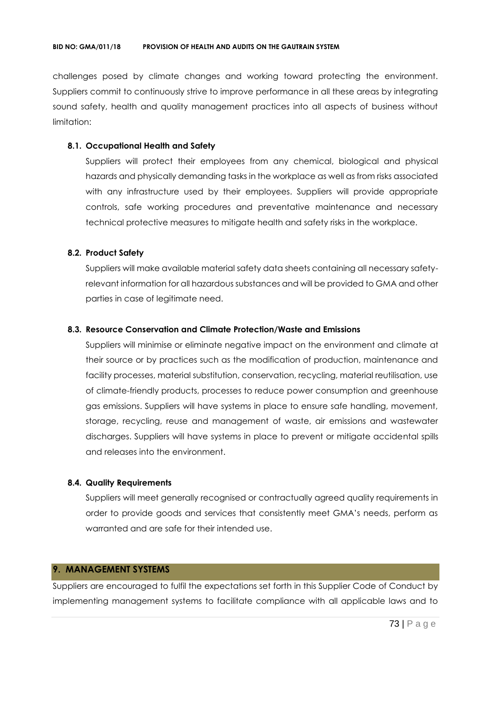challenges posed by climate changes and working toward protecting the environment. Suppliers commit to continuously strive to improve performance in all these areas by integrating sound safety, health and quality management practices into all aspects of business without limitation:

## **8.1. Occupational Health and Safety**

Suppliers will protect their employees from any chemical, biological and physical hazards and physically demanding tasks in the workplace as well as from risks associated with any infrastructure used by their employees. Suppliers will provide appropriate controls, safe working procedures and preventative maintenance and necessary technical protective measures to mitigate health and safety risks in the workplace.

### **8.2. Product Safety**

Suppliers will make available material safety data sheets containing all necessary safetyrelevant information for all hazardous substances and will be provided to GMA and other parties in case of legitimate need.

#### **8.3. Resource Conservation and Climate Protection/Waste and Emissions**

Suppliers will minimise or eliminate negative impact on the environment and climate at their source or by practices such as the modification of production, maintenance and facility processes, material substitution, conservation, recycling, material reutilisation, use of climate-friendly products, processes to reduce power consumption and greenhouse gas emissions. Suppliers will have systems in place to ensure safe handling, movement, storage, recycling, reuse and management of waste, air emissions and wastewater discharges. Suppliers will have systems in place to prevent or mitigate accidental spills and releases into the environment.

#### **8.4. Quality Requirements**

Suppliers will meet generally recognised or contractually agreed quality requirements in order to provide goods and services that consistently meet GMA's needs, perform as warranted and are safe for their intended use.

## **9. MANAGEMENT SYSTEMS**

Suppliers are encouraged to fulfil the expectations set forth in this Supplier Code of Conduct by implementing management systems to facilitate compliance with all applicable laws and to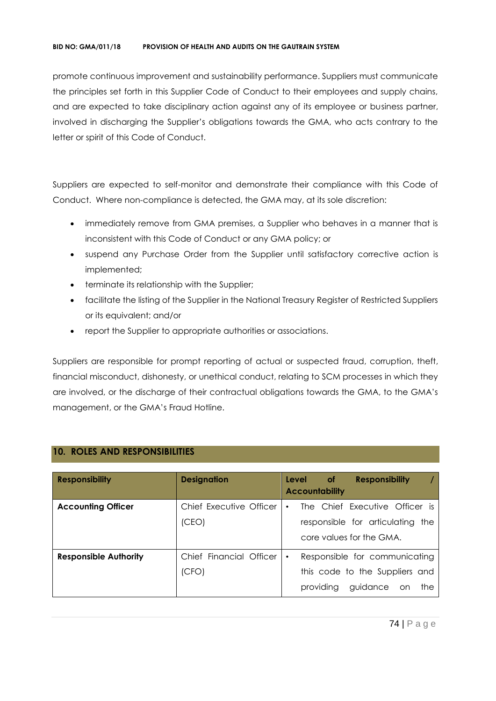#### **BID NO: GMA/011/18 PROVISION OF HEALTH AND AUDITS ON THE GAUTRAIN SYSTEM**

promote continuous improvement and sustainability performance. Suppliers must communicate the principles set forth in this Supplier Code of Conduct to their employees and supply chains, and are expected to take disciplinary action against any of its employee or business partner, involved in discharging the Supplier's obligations towards the GMA, who acts contrary to the letter or spirit of this Code of Conduct.

Suppliers are expected to self-monitor and demonstrate their compliance with this Code of Conduct. Where non-compliance is detected, the GMA may, at its sole discretion:

- immediately remove from GMA premises, a Supplier who behaves in a manner that is inconsistent with this Code of Conduct or any GMA policy; or
- suspend any Purchase Order from the Supplier until satisfactory corrective action is implemented;
- terminate its relationship with the Supplier;
- facilitate the listing of the Supplier in the National Treasury Register of Restricted Suppliers or its equivalent; and/or
- report the Supplier to appropriate authorities or associations.

Suppliers are responsible for prompt reporting of actual or suspected fraud, corruption, theft, financial misconduct, dishonesty, or unethical conduct, relating to SCM processes in which they are involved, or the discharge of their contractual obligations towards the GMA, to the GMA's management, or the GMA's Fraud Hotline.

| <b>Responsibility</b>        | <b>Designation</b>               | <b>Level</b><br><b>Responsibility</b><br>of .<br><b>Accountability</b>                                    |
|------------------------------|----------------------------------|-----------------------------------------------------------------------------------------------------------|
| <b>Accounting Officer</b>    | Chief Executive Officer<br>(CEO) | The Chief Executive Officer is<br>responsible for articulating the<br>core values for the GMA.            |
| <b>Responsible Authority</b> | Chief Financial Officer<br>(CFO) | Responsible for communicating<br>$\bullet$<br>this code to the Suppliers and<br>providing guidance on the |

# **10. ROLES AND RESPONSIBILITIES**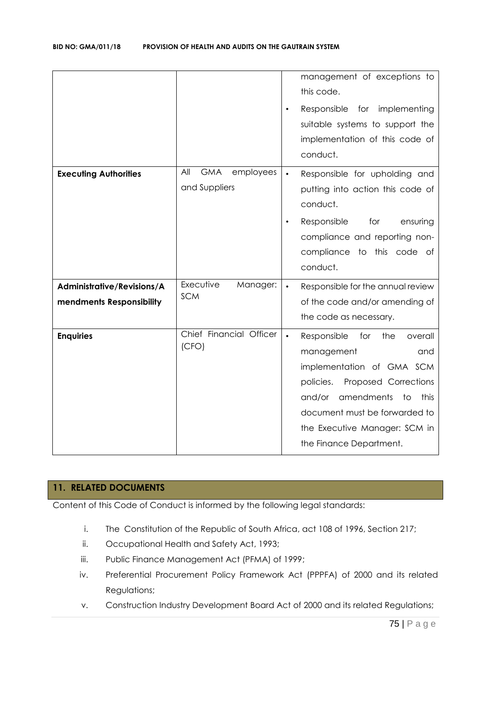|                                                        |                                                 | management of exceptions to<br>this code.<br>Responsible for implementing<br>$\bullet$<br>suitable systems to support the<br>implementation of this code of<br>conduct.                                                                                                     |
|--------------------------------------------------------|-------------------------------------------------|-----------------------------------------------------------------------------------------------------------------------------------------------------------------------------------------------------------------------------------------------------------------------------|
| <b>Executing Authorities</b>                           | All<br><b>GMA</b><br>employees<br>and Suppliers | Responsible for upholding and<br>$\bullet$<br>putting into action this code of<br>conduct.<br>Responsible<br>for<br>ensuring<br>$\bullet$<br>compliance and reporting non-<br>compliance to this code of<br>conduct.                                                        |
| Administrative/Revisions/A<br>mendments Responsibility | Executive<br>Manager:<br><b>SCM</b>             | Responsible for the annual review<br>$\bullet$<br>of the code and/or amending of<br>the code as necessary.                                                                                                                                                                  |
| <b>Enquiries</b>                                       | Chief Financial Officer<br>(CFO)                | Responsible<br>for<br>the<br>overall<br>$\bullet$<br>management<br>and<br>implementation of GMA SCM<br>Proposed Corrections<br>policies.<br>amendments<br>and/or<br>this<br>to<br>document must be forwarded to<br>the Executive Manager: SCM in<br>the Finance Department. |

# **11. RELATED DOCUMENTS**

Content of this Code of Conduct is informed by the following legal standards:

- i. The Constitution of the Republic of South Africa, act 108 of 1996, Section 217;
- ii. Occupational Health and Safety Act, 1993;
- iii. Public Finance Management Act (PFMA) of 1999;
- iv. Preferential Procurement Policy Framework Act (PPPFA) of 2000 and its related Regulations;
- v. Construction Industry Development Board Act of 2000 and its related Regulations;